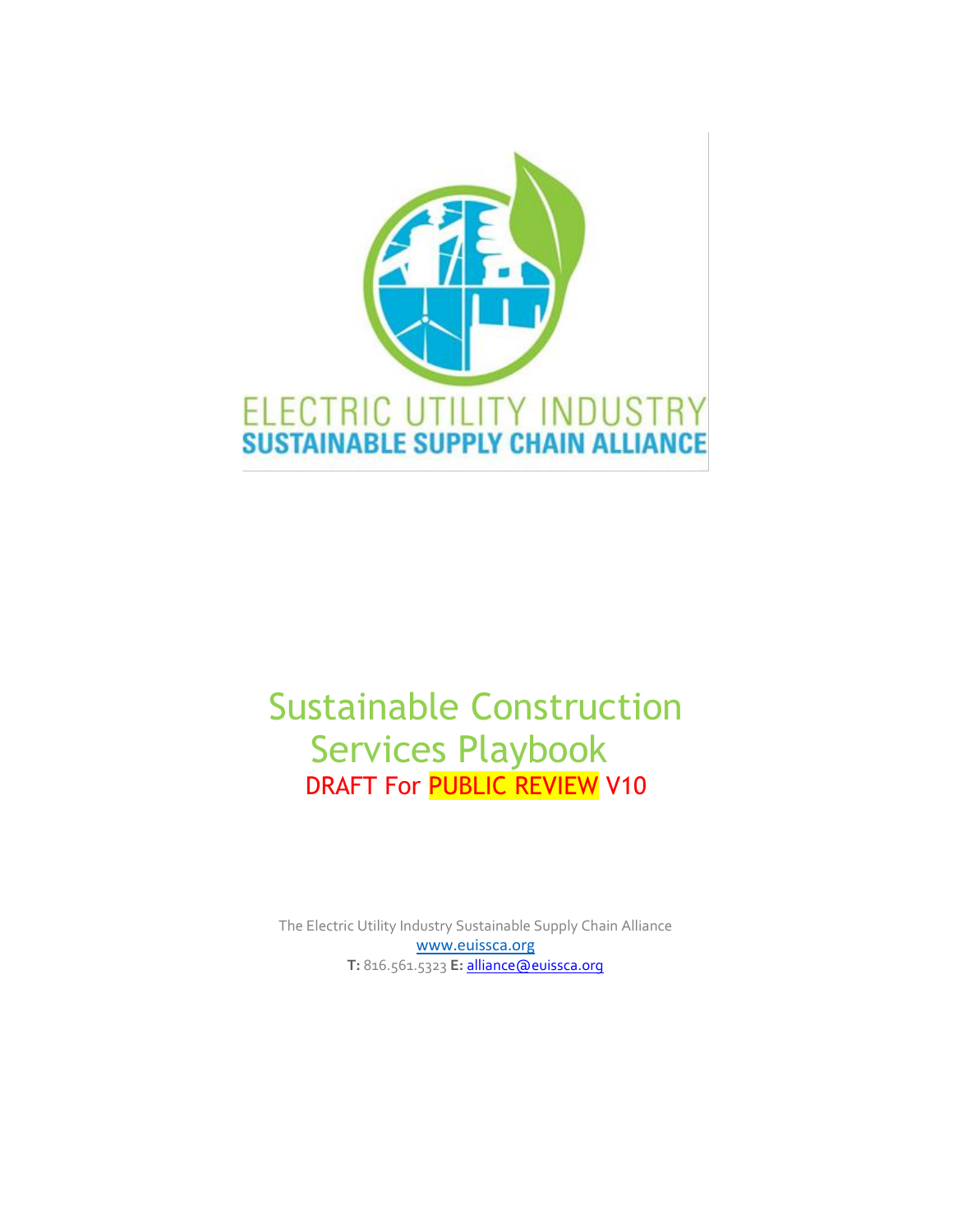

# Sustainable Construction Services Playbook DRAFT For PUBLIC REVIEW V10

The Electric Utility Industry Sustainable Supply Chain Alliance [www.euissca.org](http://www.euissca.org/) **T:** 816.561.5323 **E:** [alliance@euissca.org](mailto:alliance@euissca.org)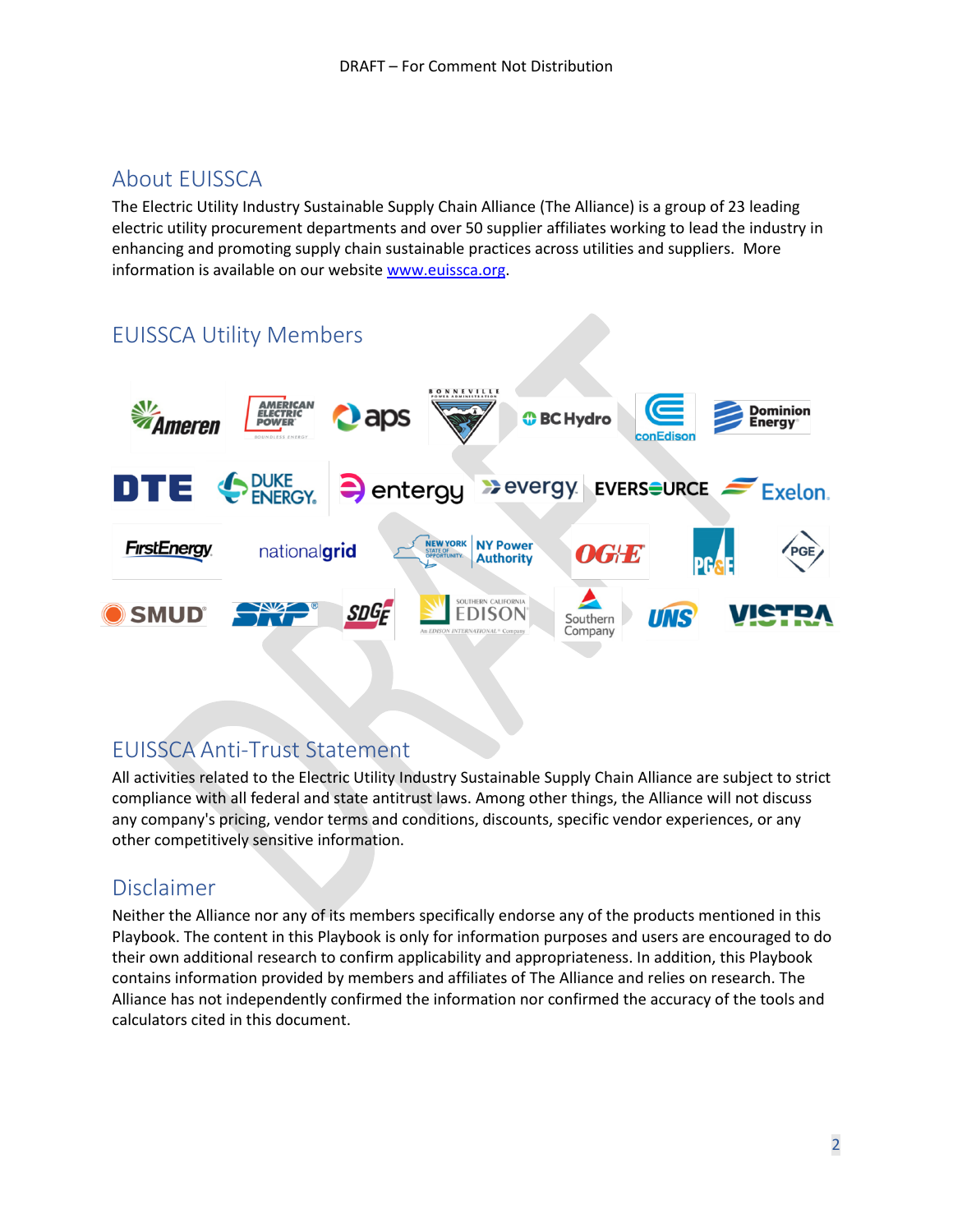## <span id="page-1-0"></span>About EUISSCA

The Electric Utility Industry Sustainable Supply Chain Alliance (The Alliance) is a group of 23 leading electric utility procurement departments and over 50 supplier affiliates working to lead the industry in enhancing and promoting supply chain sustainable practices across utilities and suppliers. More information is available on our website [www.euissca.org.](http://www.euissca.org/)

## <span id="page-1-1"></span>EUISSCA Utility Members



## <span id="page-1-2"></span>EUISSCA Anti-Trust Statement

All activities related to the Electric Utility Industry Sustainable Supply Chain Alliance are subject to strict compliance with all federal and state antitrust laws. Among other things, the Alliance will not discuss any company's pricing, vendor terms and conditions, discounts, specific vendor experiences, or any other competitively sensitive information.

## <span id="page-1-3"></span>Disclaimer

Neither the Alliance nor any of its members specifically endorse any of the products mentioned in this Playbook. The content in this Playbook is only for information purposes and users are encouraged to do their own additional research to confirm applicability and appropriateness. In addition, this Playbook contains information provided by members and affiliates of The Alliance and relies on research. The Alliance has not independently confirmed the information nor confirmed the accuracy of the tools and calculators cited in this document.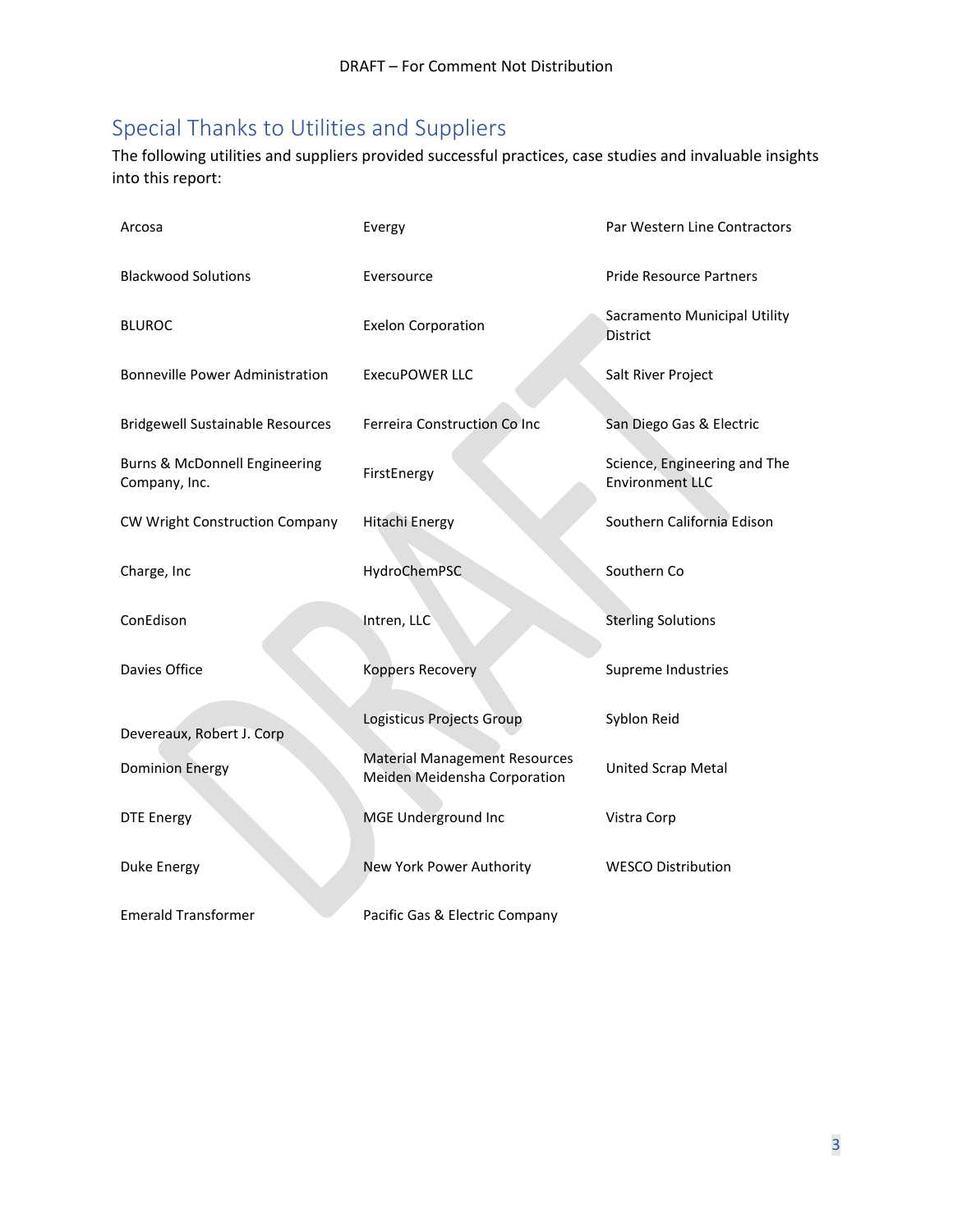## <span id="page-2-0"></span>Special Thanks to Utilities and Suppliers

The following utilities and suppliers provided successful practices, case studies and invaluable insights into this report:

| Arcosa                                         | Evergy                                                               | Par Western Line Contractors                           |
|------------------------------------------------|----------------------------------------------------------------------|--------------------------------------------------------|
| <b>Blackwood Solutions</b>                     | Eversource                                                           | <b>Pride Resource Partners</b>                         |
| <b>BLUROC</b>                                  | <b>Exelon Corporation</b>                                            | Sacramento Municipal Utility<br><b>District</b>        |
| Bonneville Power Administration                | <b>ExecuPOWER LLC</b>                                                | Salt River Project                                     |
| <b>Bridgewell Sustainable Resources</b>        | Ferreira Construction Co Inc                                         | San Diego Gas & Electric                               |
| Burns & McDonnell Engineering<br>Company, Inc. | FirstEnergy                                                          | Science, Engineering and The<br><b>Environment LLC</b> |
| CW Wright Construction Company                 | <b>Hitachi Energy</b>                                                | Southern California Edison                             |
| Charge, Inc                                    | HydroChemPSC                                                         | Southern Co                                            |
| ConEdison                                      | Intren, LLC                                                          | <b>Sterling Solutions</b>                              |
| Davies Office                                  | <b>Koppers Recovery</b>                                              | Supreme Industries                                     |
| Devereaux, Robert J. Corp                      | Logisticus Projects Group                                            | Syblon Reid                                            |
| <b>Dominion Energy</b>                         | <b>Material Management Resources</b><br>Meiden Meidensha Corporation | United Scrap Metal                                     |
| <b>DTE Energy</b>                              | MGE Underground Inc                                                  | Vistra Corp                                            |
| Duke Energy                                    | New York Power Authority                                             | <b>WESCO Distribution</b>                              |
| <b>Emerald Transformer</b>                     | Pacific Gas & Electric Company                                       |                                                        |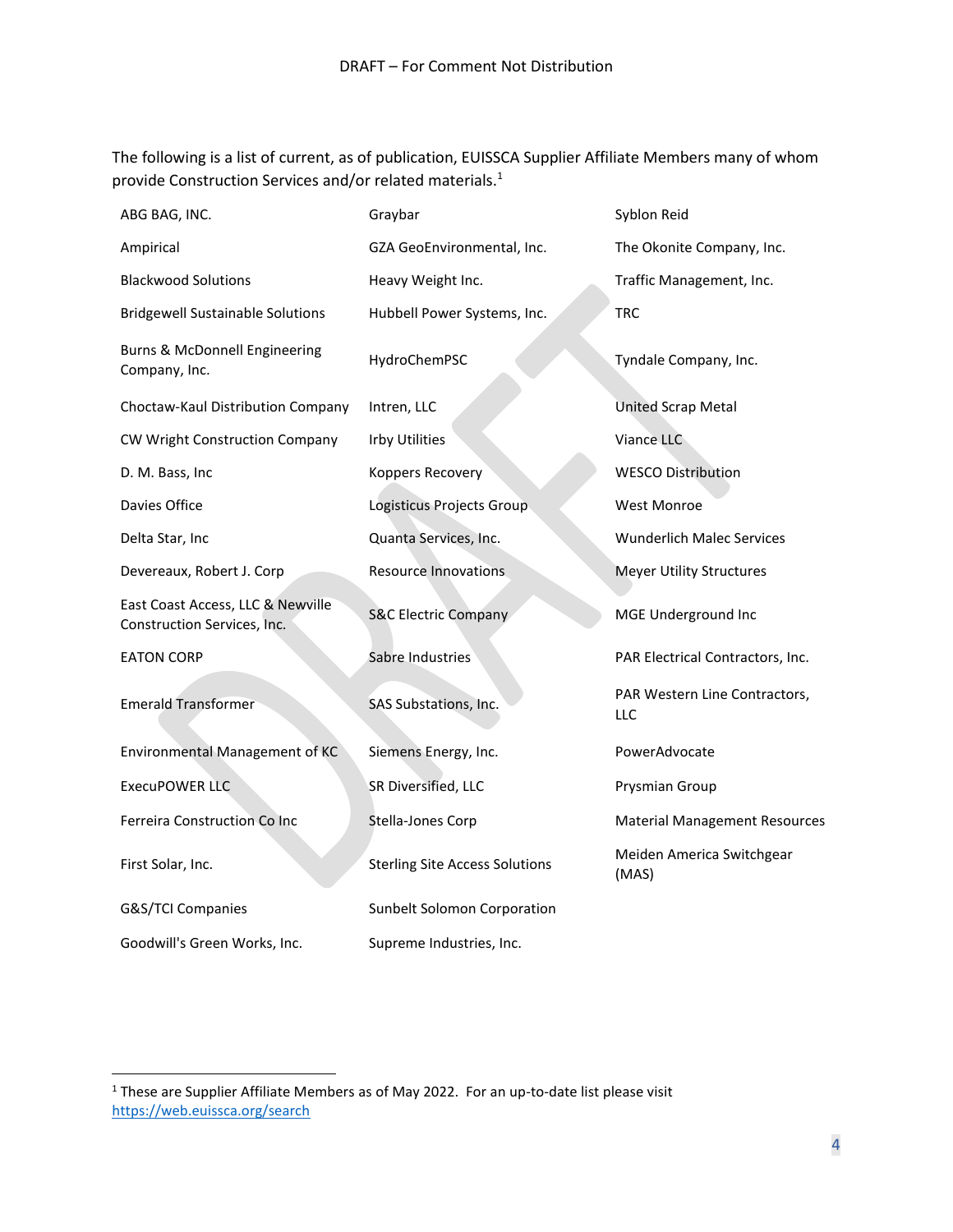The following is a list of current, as of publication, EUISSCA Supplier Affiliate Members many of whom provide Construction Services and/or related materials.<sup>1</sup>

| ABG BAG, INC.                                                    | Graybar                               | Syblon Reid                                 |
|------------------------------------------------------------------|---------------------------------------|---------------------------------------------|
| Ampirical                                                        | GZA GeoEnvironmental, Inc.            | The Okonite Company, Inc.                   |
| <b>Blackwood Solutions</b>                                       | Heavy Weight Inc.                     | Traffic Management, Inc.                    |
| <b>Bridgewell Sustainable Solutions</b>                          | Hubbell Power Systems, Inc.           | <b>TRC</b>                                  |
| Burns & McDonnell Engineering<br>Company, Inc.                   | HydroChemPSC                          | Tyndale Company, Inc.                       |
| Choctaw-Kaul Distribution Company                                | Intren, LLC                           | <b>United Scrap Metal</b>                   |
| CW Wright Construction Company                                   | <b>Irby Utilities</b>                 | Viance LLC                                  |
| D. M. Bass, Inc                                                  | Koppers Recovery                      | <b>WESCO Distribution</b>                   |
| Davies Office                                                    | Logisticus Projects Group             | <b>West Monroe</b>                          |
| Delta Star, Inc                                                  | Quanta Services, Inc.                 | <b>Wunderlich Malec Services</b>            |
| Devereaux, Robert J. Corp                                        | <b>Resource Innovations</b>           | <b>Meyer Utility Structures</b>             |
| East Coast Access, LLC & Newville<br>Construction Services, Inc. | <b>S&amp;C Electric Company</b>       | MGE Underground Inc                         |
| <b>EATON CORP</b>                                                | Sabre Industries                      | PAR Electrical Contractors, Inc.            |
| <b>Emerald Transformer</b>                                       | SAS Substations, Inc.                 | PAR Western Line Contractors,<br><b>LLC</b> |
| Environmental Management of KC                                   | Siemens Energy, Inc.                  | PowerAdvocate                               |
| <b>ExecuPOWER LLC</b>                                            | SR Diversified, LLC                   | Prysmian Group                              |
| Ferreira Construction Co Inc                                     | Stella-Jones Corp                     | <b>Material Management Resources</b>        |
| First Solar, Inc.                                                | <b>Sterling Site Access Solutions</b> | Meiden America Switchgear<br>(MAS)          |
| G&S/TCI Companies                                                | Sunbelt Solomon Corporation           |                                             |
| Goodwill's Green Works, Inc.                                     | Supreme Industries, Inc.              |                                             |

<sup>&</sup>lt;sup>1</sup> These are Supplier Affiliate Members as of May 2022. For an up-to-date list please visit <https://web.euissca.org/search>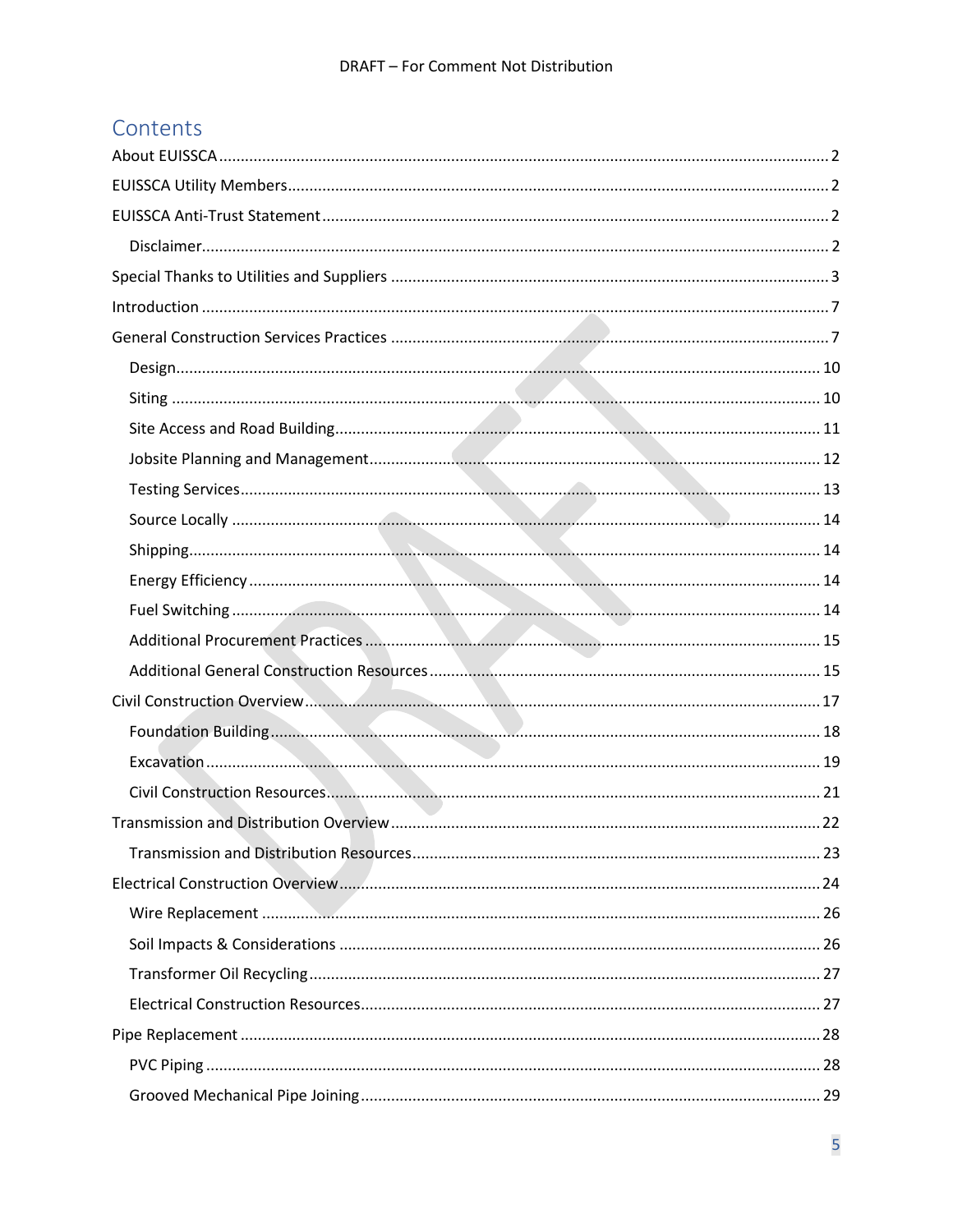## Contents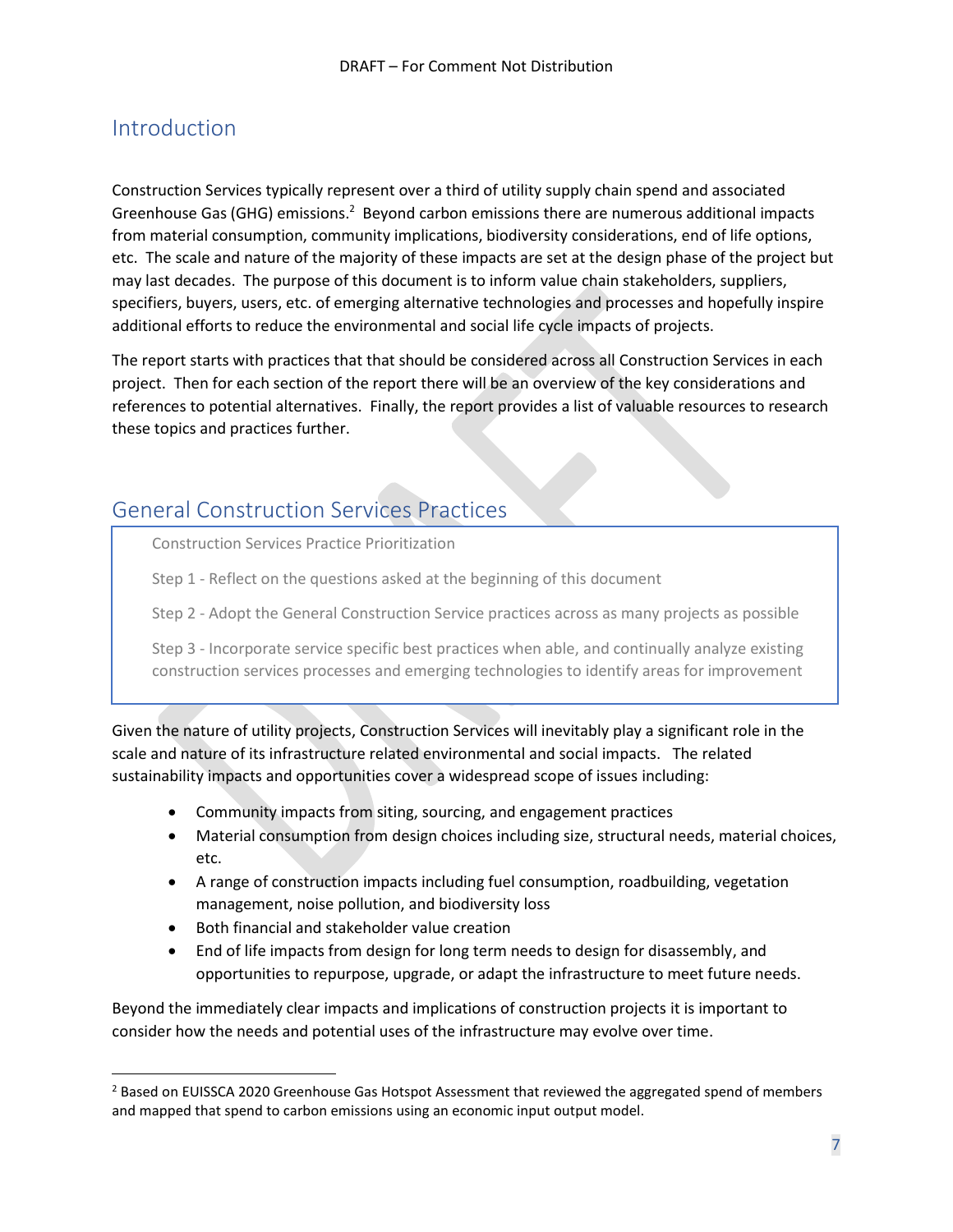## <span id="page-6-0"></span>Introduction

Construction Services typically represent over a third of utility supply chain spend and associated Greenhouse Gas (GHG) emissions.<sup>2</sup> Beyond carbon emissions there are numerous additional impacts from material consumption, community implications, biodiversity considerations, end of life options, etc. The scale and nature of the majority of these impacts are set at the design phase of the project but may last decades. The purpose of this document is to inform value chain stakeholders, suppliers, specifiers, buyers, users, etc. of emerging alternative technologies and processes and hopefully inspire additional efforts to reduce the environmental and social life cycle impacts of projects.

The report starts with practices that that should be considered across all Construction Services in each project. Then for each section of the report there will be an overview of the key considerations and references to potential alternatives. Finally, the report provides a list of valuable resources to research these topics and practices further.

## <span id="page-6-1"></span>General Construction Services Practices

Construction Services Practice Prioritization

Step 1 - Reflect on the questions asked at the beginning of this document

Step 2 - Adopt the General Construction Service practices across as many projects as possible

Step 3 - Incorporate service specific best practices when able, and continually analyze existing construction services processes and emerging technologies to identify areas for improvement

Given the nature of utility projects, Construction Services will inevitably play a significant role in the scale and nature of its infrastructure related environmental and social impacts. The related sustainability impacts and opportunities cover a widespread scope of issues including:

- Community impacts from siting, sourcing, and engagement practices
- Material consumption from design choices including size, structural needs, material choices, etc.
- A range of construction impacts including fuel consumption, roadbuilding, vegetation management, noise pollution, and biodiversity loss
- Both financial and stakeholder value creation
- End of life impacts from design for long term needs to design for disassembly, and opportunities to repurpose, upgrade, or adapt the infrastructure to meet future needs.

Beyond the immediately clear impacts and implications of construction projects it is important to consider how the needs and potential uses of the infrastructure may evolve over time.

<sup>&</sup>lt;sup>2</sup> Based on EUISSCA 2020 Greenhouse Gas Hotspot Assessment that reviewed the aggregated spend of members and mapped that spend to carbon emissions using an economic input output model.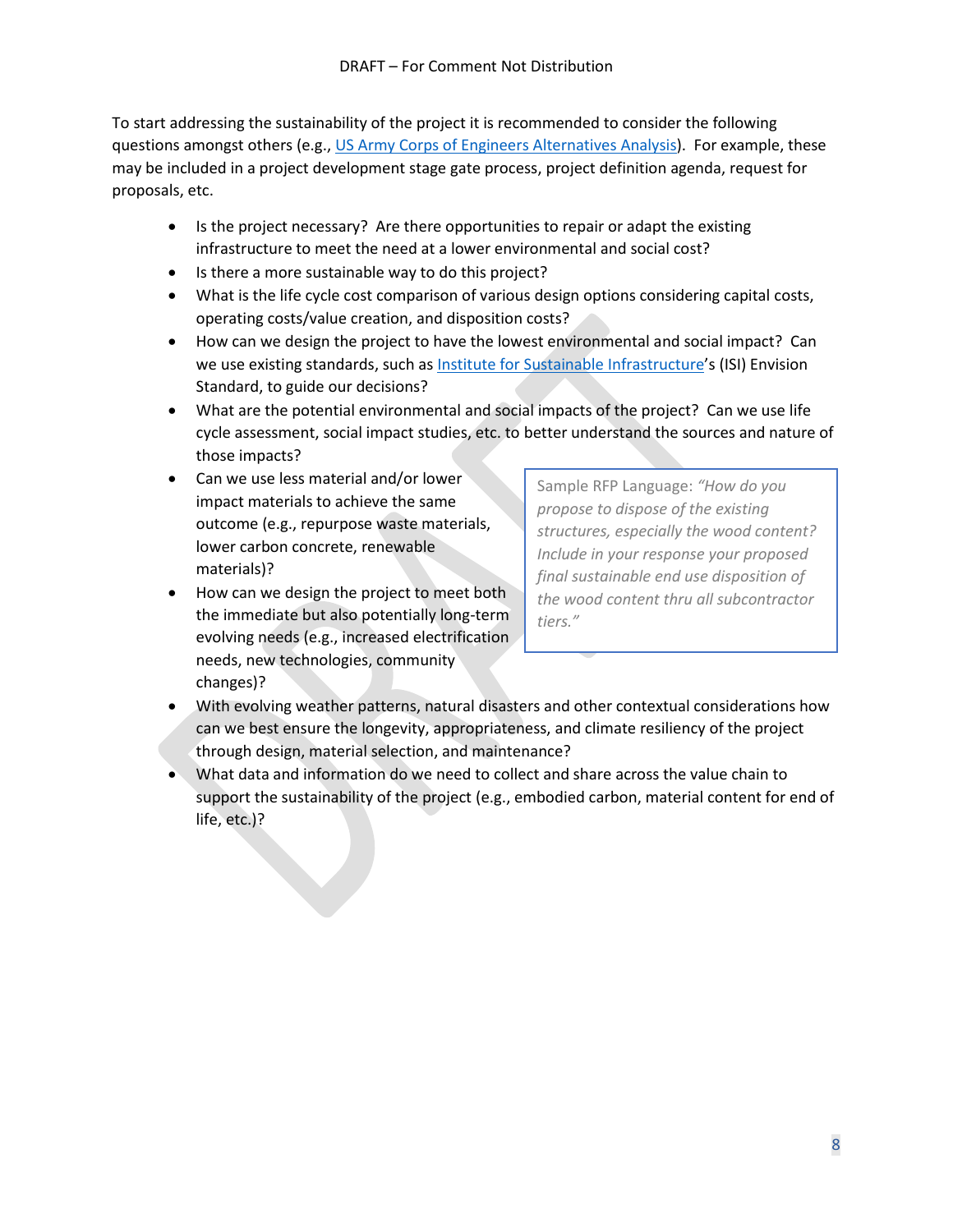To start addressing the sustainability of the project it is recommended to consider the following questions amongst others (e.g., [US Army Corps of Engineers Alternatives Analysis\)](https://www.nws.usace.army.mil/Portals/27/docs/regulatory/Forms/Alternative%20Analysis%20Framework%20NWS%20(4-18-16).pdf?ver=2016-06-07-111159-147). For example, these may be included in a project development stage gate process, project definition agenda, request for proposals, etc.

- Is the project necessary? Are there opportunities to repair or adapt the existing infrastructure to meet the need at a lower environmental and social cost?
- Is there a more sustainable way to do this project?
- What is the life cycle cost comparison of various design options considering capital costs, operating costs/value creation, and disposition costs?
- How can we design the project to have the lowest environmental and social impact? Can we use existing standards, such as [Institute for Sustainable Infrastructure](https://sustainableinfrastructure.org/)'s (ISI) Envision Standard, to guide our decisions?
- What are the potential environmental and social impacts of the project? Can we use life cycle assessment, social impact studies, etc. to better understand the sources and nature of those impacts?
- Can we use less material and/or lower impact materials to achieve the same outcome (e.g., repurpose waste materials, lower carbon concrete, renewable materials)?
- How can we design the project to meet both the immediate but also potentially long-term evolving needs (e.g., increased electrification needs, new technologies, community changes)?

Sample RFP Language: *"How do you propose to dispose of the existing structures, especially the wood content? Include in your response your proposed final sustainable end use disposition of the wood content thru all subcontractor tiers."*

- With evolving weather patterns, natural disasters and other contextual considerations how can we best ensure the longevity, appropriateness, and climate resiliency of the project through design, material selection, and maintenance?
- What data and information do we need to collect and share across the value chain to support the sustainability of the project (e.g., embodied carbon, material content for end of life, etc.)?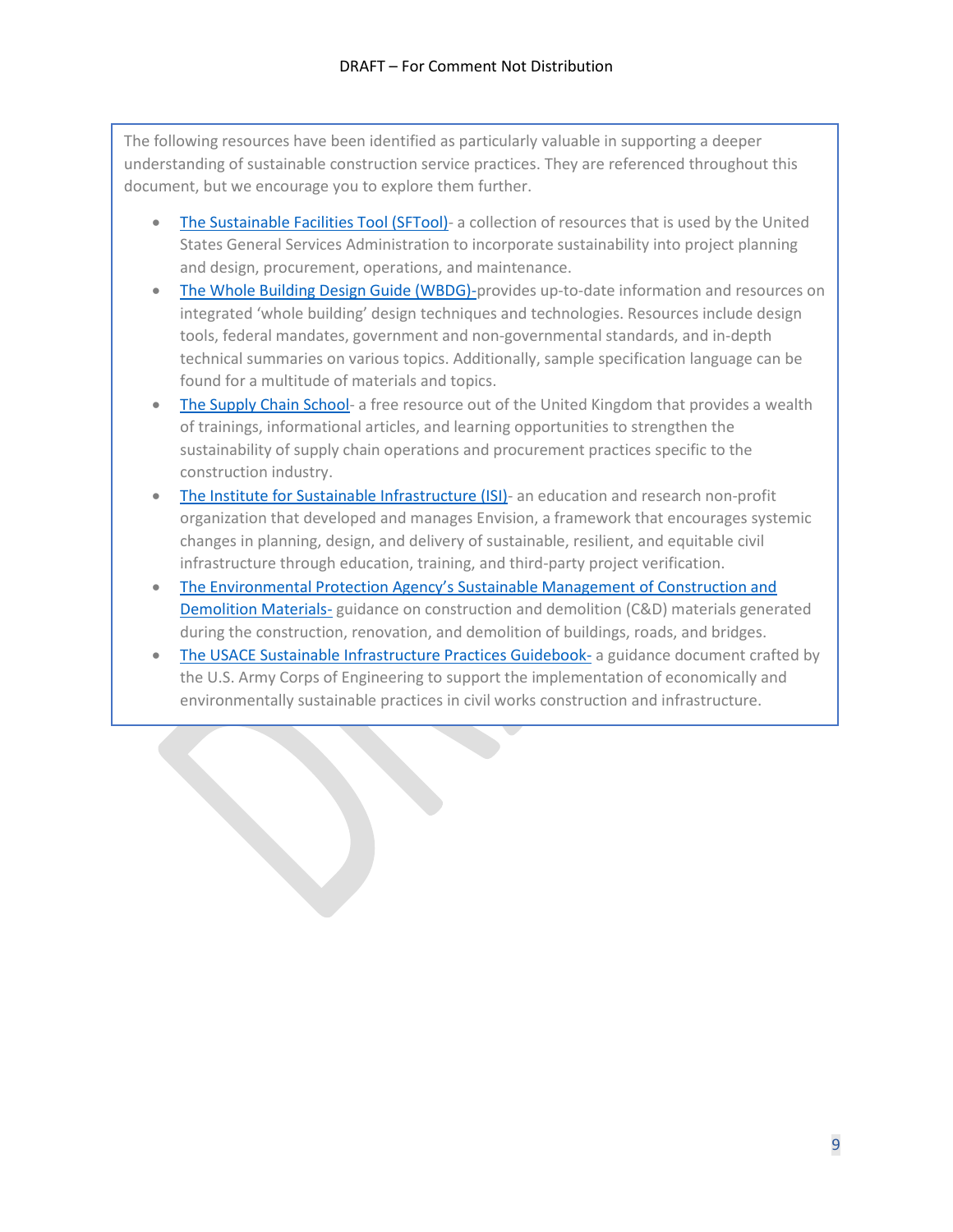The following resources have been identified as particularly valuable in supporting a deeper understanding of sustainable construction service practices. They are referenced throughout this document, but we encourage you to explore them further.

- [The Sustainable Facilities Tool \(SFTool\)-](https://sftool.gov/) a collection of resources that is used by the United States General Services Administration to incorporate sustainability into project planning and design, procurement, operations, and maintenance.
- [The Whole Building Design Guide \(WBDG\)-p](https://www.wbdg.org/)rovides up-to-date information and resources on integrated 'whole building' design techniques and technologies. Resources include design tools, federal mandates, government and non-governmental standards, and in-depth technical summaries on various topics. Additionally, sample specification language can be found for a multitude of materials and topics.
- [The Supply Chain School-](https://www.supplychainschool.co.uk/) a free resource out of the United Kingdom that provides a wealth of trainings, informational articles, and learning opportunities to strengthen the sustainability of supply chain operations and procurement practices specific to the construction industry.
- [The Institute for Sustainable Infrastructure \(ISI\)-](https://sustainableinfrastructure.org/) an education and research non-profit organization that developed and manages Envision, a framework that encourages systemic changes in planning, design, and delivery of sustainable, resilient, and equitable civil infrastructure through education, training, and third-party project verification.
- [The Environmental Protection Agency's Sustainable Management](https://www.epa.gov/smm/sustainable-management-construction-and-demolition-materials) of Construction and [Demolition Materials-](https://www.epa.gov/smm/sustainable-management-construction-and-demolition-materials) guidance on construction and demolition (C&D) materials generated during the construction, renovation, and demolition of buildings, roads, and bridges.
- [The USACE Sustainable Infrastructure Practices Guidebook-](https://www.publications.usace.army.mil/Portals/76/Users/182/86/2486/EP%201100-2-2.pd) a guidance document crafted by the U.S. Army Corps of Engineering to support the implementation of economically and environmentally sustainable practices in civil works construction and infrastructure.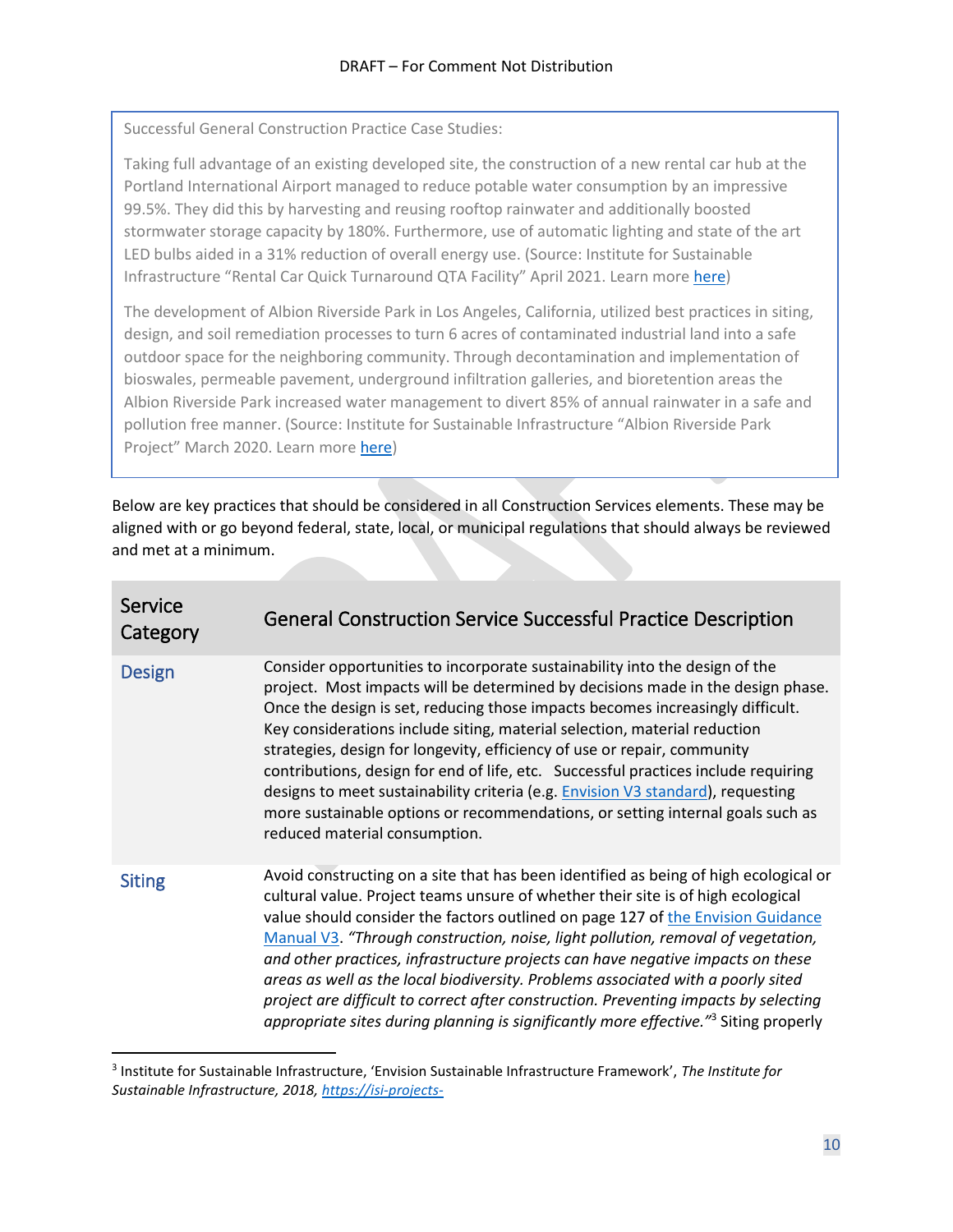Successful General Construction Practice Case Studies:

Taking full advantage of an existing developed site, the construction of a new rental car hub at the Portland International Airport managed to reduce potable water consumption by an impressive 99.5%. They did this by harvesting and reusing rooftop rainwater and additionally boosted stormwater storage capacity by 180%. Furthermore, use of automatic lighting and state of the art LED bulbs aided in a 31% reduction of overall energy use. (Source: Institute for Sustainable Infrastructure "Rental Car Quick Turnaround QTA Facility" April 2021. Learn more [here\)](https://sustainableinfrastructure.org/project-awards/rental-car-quick-turnaround-qta-facility/)

The development of Albion Riverside Park in Los Angeles, California, utilized best practices in siting, design, and soil remediation processes to turn 6 acres of contaminated industrial land into a safe outdoor space for the neighboring community. Through decontamination and implementation of bioswales, permeable pavement, underground infiltration galleries, and bioretention areas the Albion Riverside Park increased water management to divert 85% of annual rainwater in a safe and pollution free manner. (Source: Institute for Sustainable Infrastructure "Albion Riverside Park Project" March 2020. Learn more [here\)](https://sustainableinfrastructure.org/project-awards/albion-riverside-park-project/)

Below are key practices that should be considered in all Construction Services elements. These may be aligned with or go beyond federal, state, local, or municipal regulations that should always be reviewed and met at a minimum.

<span id="page-9-0"></span>

| Service<br>Category | <b>General Construction Service Successful Practice Description</b>                                                                                                                                                                                                                                                                                                                                                                                                                                                                                                                                                                                                                                                |
|---------------------|--------------------------------------------------------------------------------------------------------------------------------------------------------------------------------------------------------------------------------------------------------------------------------------------------------------------------------------------------------------------------------------------------------------------------------------------------------------------------------------------------------------------------------------------------------------------------------------------------------------------------------------------------------------------------------------------------------------------|
| <b>Design</b>       | Consider opportunities to incorporate sustainability into the design of the<br>project. Most impacts will be determined by decisions made in the design phase.<br>Once the design is set, reducing those impacts becomes increasingly difficult.<br>Key considerations include siting, material selection, material reduction<br>strategies, design for longevity, efficiency of use or repair, community<br>contributions, design for end of life, etc. Successful practices include requiring<br>designs to meet sustainability criteria (e.g. Envision V3 standard), requesting<br>more sustainable options or recommendations, or setting internal goals such as<br>reduced material consumption.              |
| <b>Siting</b>       | Avoid constructing on a site that has been identified as being of high ecological or<br>cultural value. Project teams unsure of whether their site is of high ecological<br>value should consider the factors outlined on page 127 of the Envision Guidance<br>Manual V3. "Through construction, noise, light pollution, removal of vegetation,<br>and other practices, infrastructure projects can have negative impacts on these<br>areas as well as the local biodiversity. Problems associated with a poorly sited<br>project are difficult to correct after construction. Preventing impacts by selecting<br>appropriate sites during planning is significantly more effective." <sup>3</sup> Siting properly |

<span id="page-9-1"></span><sup>3</sup> Institute for Sustainable Infrastructure, 'Envision Sustainable Infrastructure Framework', *The Institute for Sustainable Infrastructure, 2018, [https://isi-projects-](https://isi-projects-documents.s3.amazonaws.com/prod/files/static/31/k9ohYfnYjZkVkLTZ/Envision%20Guidance%20Manual%20%28v3%29.pdf)*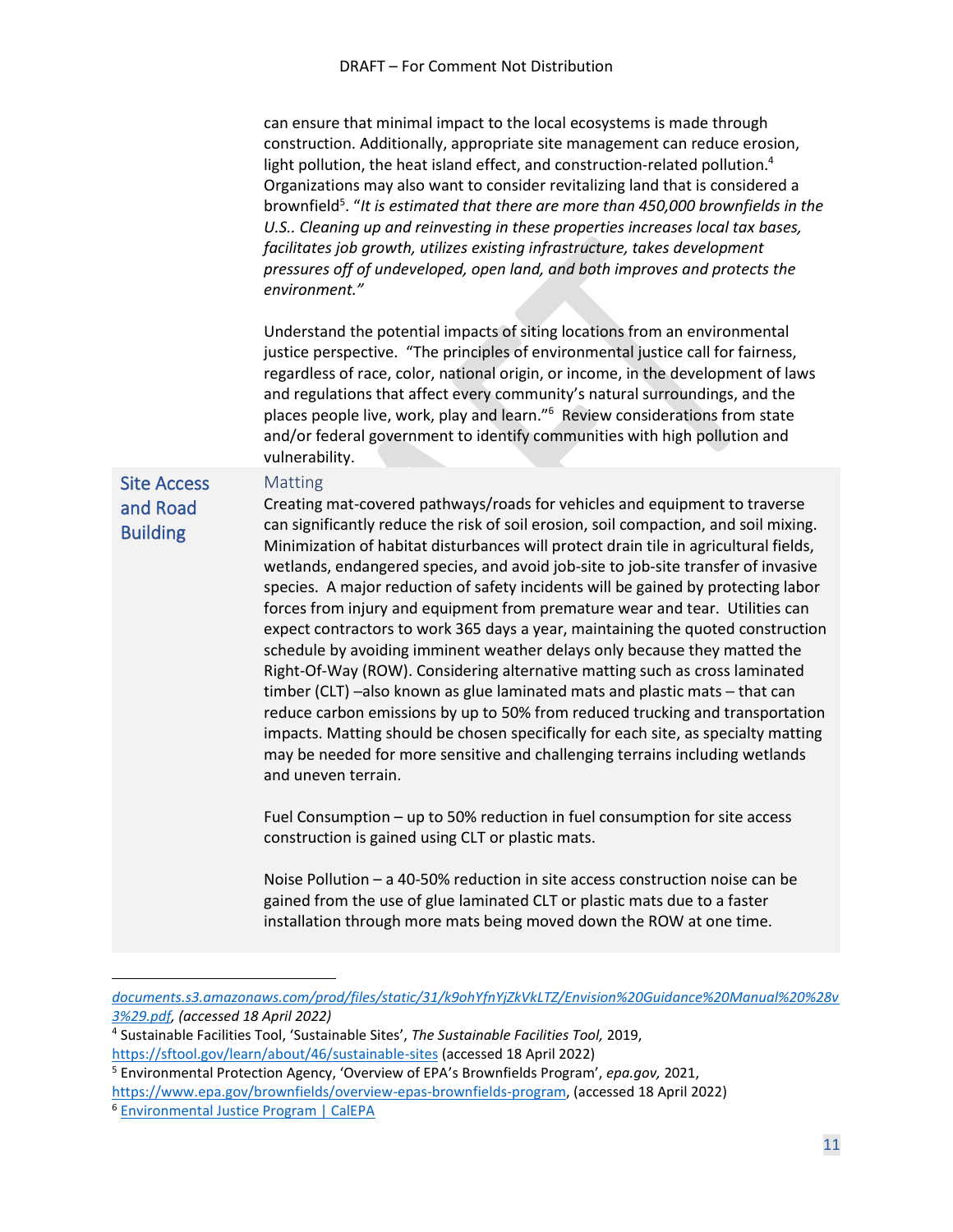can ensure that minimal impact to the local ecosystems is made through construction. Additionally, appropriate site management can reduce erosion, light pollution, the heat island effect, and construction-related pollution.<sup>4</sup> Organizations may also want to consider revitalizing land that is considered a brownfield<sup>5</sup>. "It is estimated that there are more than 450,000 brownfields in the *U.S.. Cleaning up and reinvesting in these properties increases local tax bases, facilitates job growth, utilizes existing infrastructure, takes development pressures off of undeveloped, open land, and both improves and protects the environment."*

Understand the potential impacts of siting locations from an environmental justice perspective. "The principles of environmental justice call for fairness, regardless of race, color, national origin, or income, in the development of laws and regulations that affect every community's natural surroundings, and the places people live, work, play and learn." 6 Review considerations from state and/or federal government to identify communities with high pollution and vulnerability.

#### <span id="page-10-0"></span>Site Access and Road

Matting

Building

Creating mat-covered pathways/roads for vehicles and equipment to traverse can significantly reduce the risk of soil erosion, soil compaction, and soil mixing. Minimization of habitat disturbances will protect drain tile in agricultural fields, wetlands, endangered species, and avoid job-site to job-site transfer of invasive species. A major reduction of safety incidents will be gained by protecting labor forces from injury and equipment from premature wear and tear. Utilities can expect contractors to work 365 days a year, maintaining the quoted construction schedule by avoiding imminent weather delays only because they matted the Right-Of-Way (ROW). Considering alternative matting such as cross laminated timber (CLT) ─also known as glue laminated mats and plastic mats ─ that can reduce carbon emissions by up to 50% from reduced trucking and transportation impacts. Matting should be chosen specifically for each site, as specialty matting may be needed for more sensitive and challenging terrains including wetlands and uneven terrain.

Fuel Consumption – up to 50% reduction in fuel consumption for site access construction is gained using CLT or plastic mats.

Noise Pollution – a 40-50% reduction in site access construction noise can be gained from the use of glue laminated CLT or plastic mats due to a faster installation through more mats being moved down the ROW at one time.

*[documents.s3.amazonaws.com/prod/files/static/31/k9ohYfnYjZkVkLTZ/Envision%20Guidance%20Manual%20%28v](https://isi-projects-documents.s3.amazonaws.com/prod/files/static/31/k9ohYfnYjZkVkLTZ/Envision%20Guidance%20Manual%20%28v3%29.pdf) [3%29.pdf,](https://isi-projects-documents.s3.amazonaws.com/prod/files/static/31/k9ohYfnYjZkVkLTZ/Envision%20Guidance%20Manual%20%28v3%29.pdf) (accessed 18 April 2022)*

<sup>4</sup> Sustainable Facilities Tool, 'Sustainable Sites', *The Sustainable Facilities Tool,* 2019, <https://sftool.gov/learn/about/46/sustainable-sites> (accessed 18 April 2022)

<sup>5</sup> Environmental Protection Agency, 'Overview of EPA's Brownfields Program', *epa.gov,* 2021, [https://www.epa.gov/brownfields/overview-epas-brownfields-program,](https://www.epa.gov/brownfields/overview-epas-brownfields-program) (accessed 18 April 2022)

<sup>6</sup> [Environmental Justice Program | CalEPA](http://calepa.ca.gov/EnvJustice/)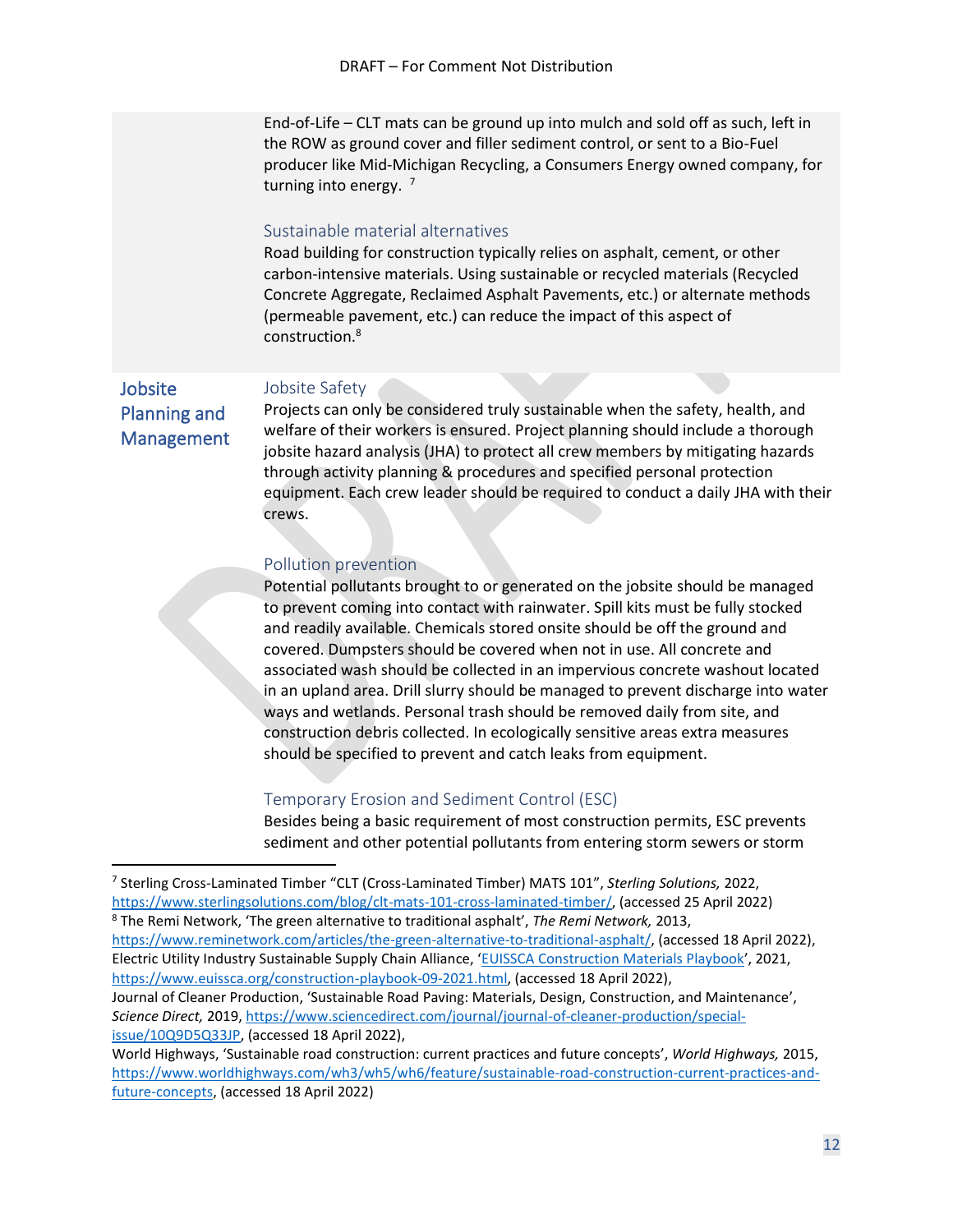End-of-Life – CLT mats can be ground up into mulch and sold off as such, left in the ROW as ground cover and filler sediment control, or sent to a Bio-Fuel producer like Mid-Michigan Recycling, a Consumers Energy owned company, for turning into energy.  $7$ 

#### Sustainable material alternatives

Road building for construction typically relies on asphalt, cement, or other carbon-intensive materials. Using sustainable or recycled materials (Recycled Concrete Aggregate, Reclaimed Asphalt Pavements, etc.) or alternate methods (permeable pavement, etc.) can reduce the impact of this aspect of construction.<sup>8</sup>

<span id="page-11-0"></span>Jobsite Planning and Management

#### Jobsite Safety

Projects can only be considered truly sustainable when the safety, health, and welfare of their workers is ensured. Project planning should include a thorough jobsite hazard analysis (JHA) to protect all crew members by mitigating hazards through activity planning & procedures and specified personal protection equipment. Each crew leader should be required to conduct a daily JHA with their crews.

#### Pollution prevention

Potential pollutants brought to or generated on the jobsite should be managed to prevent coming into contact with rainwater. Spill kits must be fully stocked and readily available. Chemicals stored onsite should be off the ground and covered. Dumpsters should be covered when not in use. All concrete and associated wash should be collected in an impervious concrete washout located in an upland area. Drill slurry should be managed to prevent discharge into water ways and wetlands. Personal trash should be removed daily from site, and construction debris collected. In ecologically sensitive areas extra measures should be specified to prevent and catch leaks from equipment.

#### Temporary Erosion and Sediment Control (ESC)

Besides being a basic requirement of most construction permits, ESC prevents sediment and other potential pollutants from entering storm sewers or storm

<sup>7</sup> Sterling Cross-Laminated Timber "CLT (Cross-Laminated Timber) MATS 101", *Sterling Solutions,* 2022, [https://www.sterlingsolutions.com/blog/clt-mats-101-cross-laminated-timber/,](https://www.sterlingsolutions.com/blog/clt-mats-101-cross-laminated-timber/) (accessed 25 April 2022) <sup>8</sup> The Remi Network, 'The green alternative to traditional asphalt', *The Remi Network,* 2013, [https://www.reminetwork.com/articles/the-green-alternative-to-traditional-asphalt/,](https://www.reminetwork.com/articles/the-green-alternative-to-traditional-asphalt/) (accessed 18 April 2022), Electric Utility Industry Sustainable Supply Chain Alliance, '[EUISSCA Construction Materials Playbook](https://anthesisllc.sharepoint.com/Clients%20AM/EUISSCA/2022/Work%20Teams%20and%20RTs/Construction/Construction%20Services%20Playbook/EUISSCA%20Construction%20Materials%20Playbook)', 2021, [https://www.euissca.org/construction-playbook-09-2021.html,](https://www.euissca.org/construction-playbook-09-2021.html) (accessed 18 April 2022), Journal of Cleaner Production, 'Sustainable Road Paving: Materials, Design, Construction, and Maintenance', *Science Direct,* 2019, [https://www.sciencedirect.com/journal/journal-of-cleaner-production/special](https://www.sciencedirect.com/journal/journal-of-cleaner-production/special-issue/10Q9D5Q33JP)[issue/10Q9D5Q33JP,](https://www.sciencedirect.com/journal/journal-of-cleaner-production/special-issue/10Q9D5Q33JP) (accessed 18 April 2022), World Highways, 'Sustainable road construction: current practices and future concepts', *World Highways,* 2015,

[https://www.worldhighways.com/wh3/wh5/wh6/feature/sustainable-road-construction-current-practices-and](https://www.worldhighways.com/wh3/wh5/wh6/feature/sustainable-road-construction-current-practices-and-future-concepts)[future-concepts,](https://www.worldhighways.com/wh3/wh5/wh6/feature/sustainable-road-construction-current-practices-and-future-concepts) (accessed 18 April 2022)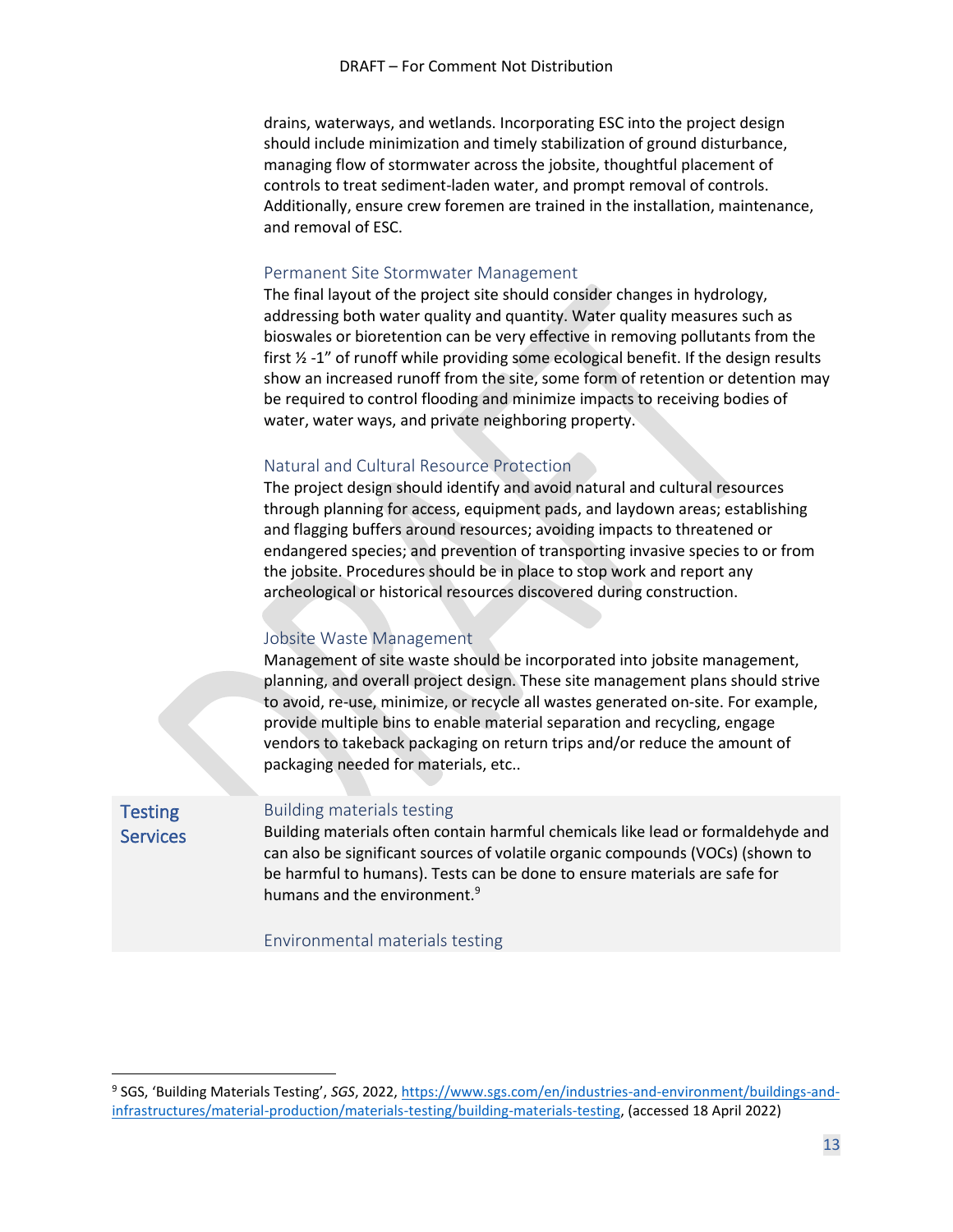drains, waterways, and wetlands. Incorporating ESC into the project design should include minimization and timely stabilization of ground disturbance, managing flow of stormwater across the jobsite, thoughtful placement of controls to treat sediment-laden water, and prompt removal of controls. Additionally, ensure crew foremen are trained in the installation, maintenance, and removal of ESC.

#### Permanent Site Stormwater Management

The final layout of the project site should consider changes in hydrology, addressing both water quality and quantity. Water quality measures such as bioswales or bioretention can be very effective in removing pollutants from the first ½ -1" of runoff while providing some ecological benefit. If the design results show an increased runoff from the site, some form of retention or detention may be required to control flooding and minimize impacts to receiving bodies of water, water ways, and private neighboring property.

#### Natural and Cultural Resource Protection

The project design should identify and avoid natural and cultural resources through planning for access, equipment pads, and laydown areas; establishing and flagging buffers around resources; avoiding impacts to threatened or endangered species; and prevention of transporting invasive species to or from the jobsite. Procedures should be in place to stop work and report any archeological or historical resources discovered during construction.

#### Jobsite Waste Management

Management of site waste should be incorporated into jobsite management, planning, and overall project design. These site management plans should strive to avoid, re-use, minimize, or recycle all wastes generated on-site. For example, provide multiple bins to enable material separation and recycling, engage vendors to takeback packaging on return trips and/or reduce the amount of packaging needed for materials, etc..

<span id="page-12-0"></span>**Testing Services** 

#### Building materials testing

Building materials often contain harmful chemicals like lead or formaldehyde and can also be significant sources of volatile organic compounds (VOCs) (shown to be harmful to humans). Tests can be done to ensure materials are safe for humans and the environment.<sup>9</sup>

Environmental materials testing

<sup>&</sup>lt;sup>9</sup> SGS, 'Building Materials Testing', *SGS*, 2022, <u>https://www.sgs.com/en/industries-and-environment/buildings-and-</u> [infrastructures/material-production/materials-testing/building-materials-testing,](https://www.sgs.com/en/industries-and-environment/buildings-and-infrastructures/material-production/materials-testing/building-materials-testing) (accessed 18 April 2022)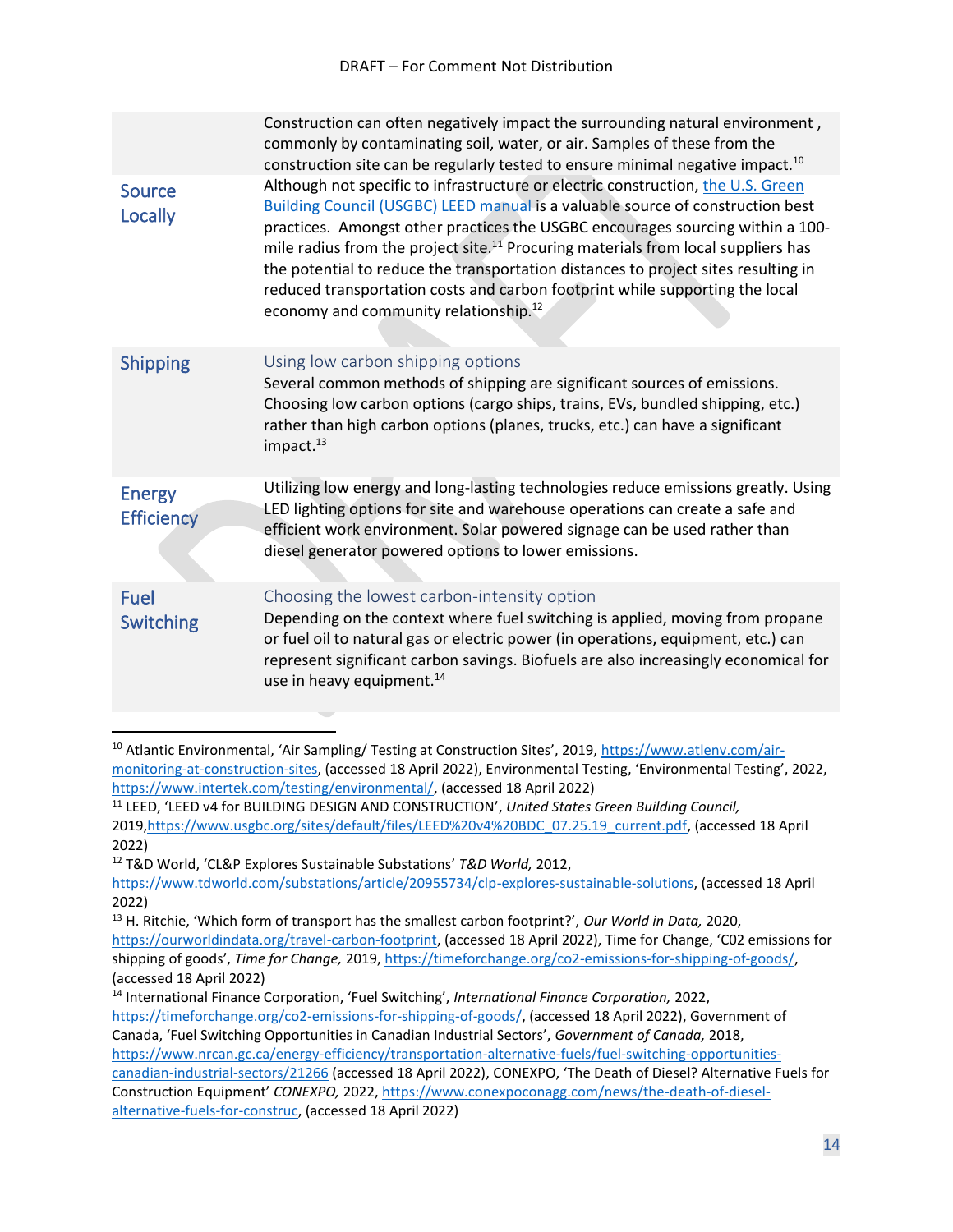<span id="page-13-1"></span><span id="page-13-0"></span>

|                                    | Construction can often negatively impact the surrounding natural environment,<br>commonly by contaminating soil, water, or air. Samples of these from the<br>construction site can be regularly tested to ensure minimal negative impact. <sup>10</sup>                                                                                                                                                                                                                                                                                                                                 |
|------------------------------------|-----------------------------------------------------------------------------------------------------------------------------------------------------------------------------------------------------------------------------------------------------------------------------------------------------------------------------------------------------------------------------------------------------------------------------------------------------------------------------------------------------------------------------------------------------------------------------------------|
| <b>Source</b><br>Locally           | Although not specific to infrastructure or electric construction, the U.S. Green<br><b>Building Council (USGBC) LEED manual is a valuable source of construction best</b><br>practices. Amongst other practices the USGBC encourages sourcing within a 100-<br>mile radius from the project site. <sup>11</sup> Procuring materials from local suppliers has<br>the potential to reduce the transportation distances to project sites resulting in<br>reduced transportation costs and carbon footprint while supporting the local<br>economy and community relationship. <sup>12</sup> |
| <b>Shipping</b>                    | Using low carbon shipping options<br>Several common methods of shipping are significant sources of emissions.<br>Choosing low carbon options (cargo ships, trains, EVs, bundled shipping, etc.)<br>rather than high carbon options (planes, trucks, etc.) can have a significant<br>impact. <sup>13</sup>                                                                                                                                                                                                                                                                               |
| <b>Energy</b><br><b>Efficiency</b> | Utilizing low energy and long-lasting technologies reduce emissions greatly. Using<br>LED lighting options for site and warehouse operations can create a safe and<br>efficient work environment. Solar powered signage can be used rather than<br>diesel generator powered options to lower emissions.                                                                                                                                                                                                                                                                                 |
| <b>Fuel</b><br>Switching           | Choosing the lowest carbon-intensity option<br>Depending on the context where fuel switching is applied, moving from propane<br>or fuel oil to natural gas or electric power (in operations, equipment, etc.) can<br>represent significant carbon savings. Biofuels are also increasingly economical for<br>use in heavy equipment. <sup>14</sup>                                                                                                                                                                                                                                       |

<sup>12</sup> T&D World, 'CL&P Explores Sustainable Substations' *T&D World,* 2012,

<span id="page-13-3"></span><span id="page-13-2"></span><sup>&</sup>lt;sup>10</sup> Atlantic Environmental, 'Air Sampling/ Testing at Construction Sites', 2019, [https://www.atlenv.com/air](https://www.atlenv.com/air-monitoring-at-construction-sites)[monitoring-at-construction-sites,](https://www.atlenv.com/air-monitoring-at-construction-sites) (accessed 18 April 2022), Environmental Testing, 'Environmental Testing', 2022, [https://www.intertek.com/testing/environmental/,](https://www.intertek.com/testing/environmental/) (accessed 18 April 2022)

<sup>11</sup> LEED, 'LEED v4 for BUILDING DESIGN AND CONSTRUCTION', *United States Green Building Council,*  2019[,https://www.usgbc.org/sites/default/files/LEED%20v4%20BDC\\_07.25.19\\_current.pdf,](https://www.usgbc.org/sites/default/files/LEED%20v4%20BDC_07.25.19_current.pdf) (accessed 18 April 2022)

[https://www.tdworld.com/substations/article/20955734/clp-explores-sustainable-solutions,](https://www.tdworld.com/substations/article/20955734/clp-explores-sustainable-solutions) (accessed 18 April 2022)

<sup>13</sup> H. Ritchie, 'Which form of transport has the smallest carbon footprint?', *Our World in Data,* 2020, <https://ourworldindata.org/travel-carbon-footprint>, (accessed 18 April 2022), Time for Change, 'C02 emissions for shipping of goods', *Time for Change,* 2019, [https://timeforchange.org/co2-emissions-for-shipping-of-goods/,](https://timeforchange.org/co2-emissions-for-shipping-of-goods/) (accessed 18 April 2022)

<sup>14</sup> International Finance Corporation, 'Fuel Switching', *International Finance Corporation,* 2022, [https://timeforchange.org/co2-emissions-for-shipping-of-goods/,](https://timeforchange.org/co2-emissions-for-shipping-of-goods/) (accessed 18 April 2022), Government of Canada, 'Fuel Switching Opportunities in Canadian Industrial Sectors', *Government of Canada,* 2018, [https://www.nrcan.gc.ca/energy-efficiency/transportation-alternative-fuels/fuel-switching-opportunities](https://www.nrcan.gc.ca/energy-efficiency/transportation-alternative-fuels/fuel-switching-opportunities-canadian-industrial-sectors/21266)[canadian-industrial-sectors/21266](https://www.nrcan.gc.ca/energy-efficiency/transportation-alternative-fuels/fuel-switching-opportunities-canadian-industrial-sectors/21266) (accessed 18 April 2022), CONEXPO, 'The Death of Diesel? Alternative Fuels for Construction Equipment' *CONEXPO,* 2022[, https://www.conexpoconagg.com/news/the-death-of-diesel](https://www.conexpoconagg.com/news/the-death-of-diesel-alternative-fuels-for-construc)[alternative-fuels-for-construc,](https://www.conexpoconagg.com/news/the-death-of-diesel-alternative-fuels-for-construc) (accessed 18 April 2022)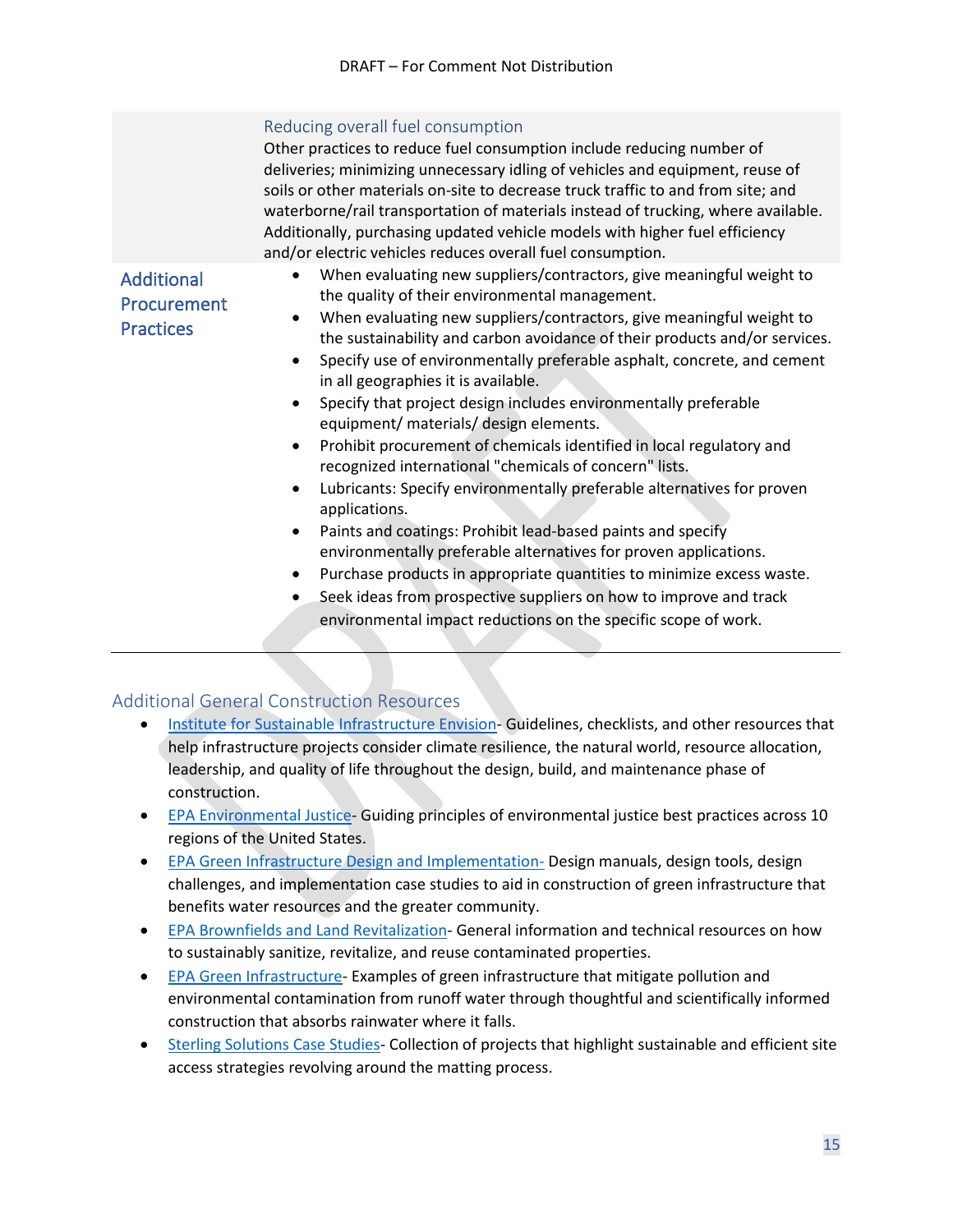#### Reducing overall fuel consumption

Other practices to reduce fuel consumption include reducing number of deliveries; minimizing unnecessary idling of vehicles and equipment, reuse of soils or other materials on-site to decrease truck traffic to and from site; and waterborne/rail transportation of materials instead of trucking, where available. Additionally, purchasing updated vehicle models with higher fuel efficiency and/or electric vehicles reduces overall fuel consumption.

### <span id="page-14-0"></span>**Additional** Procurement **Practices**

- When evaluating new suppliers/contractors, give meaningful weight to the quality of their environmental management.
- When evaluating new suppliers/contractors, give meaningful weight to the sustainability and carbon avoidance of their products and/or services.
- Specify use of environmentally preferable asphalt, concrete, and cement in all geographies it is available.
- Specify that project design includes environmentally preferable equipment/ materials/ design elements.
- Prohibit procurement of chemicals identified in local regulatory and recognized international "chemicals of concern" lists.
- Lubricants: Specify environmentally preferable alternatives for proven applications.
- Paints and coatings: Prohibit lead-based paints and specify environmentally preferable alternatives for proven applications.
- Purchase products in appropriate quantities to minimize excess waste.
- Seek ideas from prospective suppliers on how to improve and track environmental impact reductions on the specific scope of work.

#### <span id="page-14-1"></span>Additional General Construction Resources

- [Institute for Sustainable Infrastructure Envision-](https://sustainableinfrastructure.org/) Guidelines, checklists, and other resources that help infrastructure projects consider climate resilience, the natural world, resource allocation, leadership, and quality of life throughout the design, build, and maintenance phase of construction.
- [EPA Environmental Justice-](https://www.epa.gov/environmentaljustice/environmental-justice-your-community) Guiding principles of environmental justice best practices across 10 regions of the United States.
- [EPA Green Infrastructure Design and Implementation-](https://www.epa.gov/green-infrastructure/green-infrastructure-design-and-implementation) Design manuals, design tools, design challenges, and implementation case studies to aid in construction of green infrastructure that benefits water resources and the greater community.
- [EPA Brownfields and Land Revitalization-](https://www.epa.gov/brownfields) General information and technical resources on how to sustainably sanitize, revitalize, and reuse contaminated properties.
- [EPA Green Infrastructure-](https://www.epa.gov/green-infrastructure/what-green-infrastructure) Examples of green infrastructure that mitigate pollution and environmental contamination from runoff water through thoughtful and scientifically informed construction that absorbs rainwater where it falls.
- [Sterling Solutions Case Studies-](https://www.sterlingsolutions.com/resources/?resource-type=case-study&industry=0&keyword=#filterr) Collection of projects that highlight sustainable and efficient site access strategies revolving around the matting process.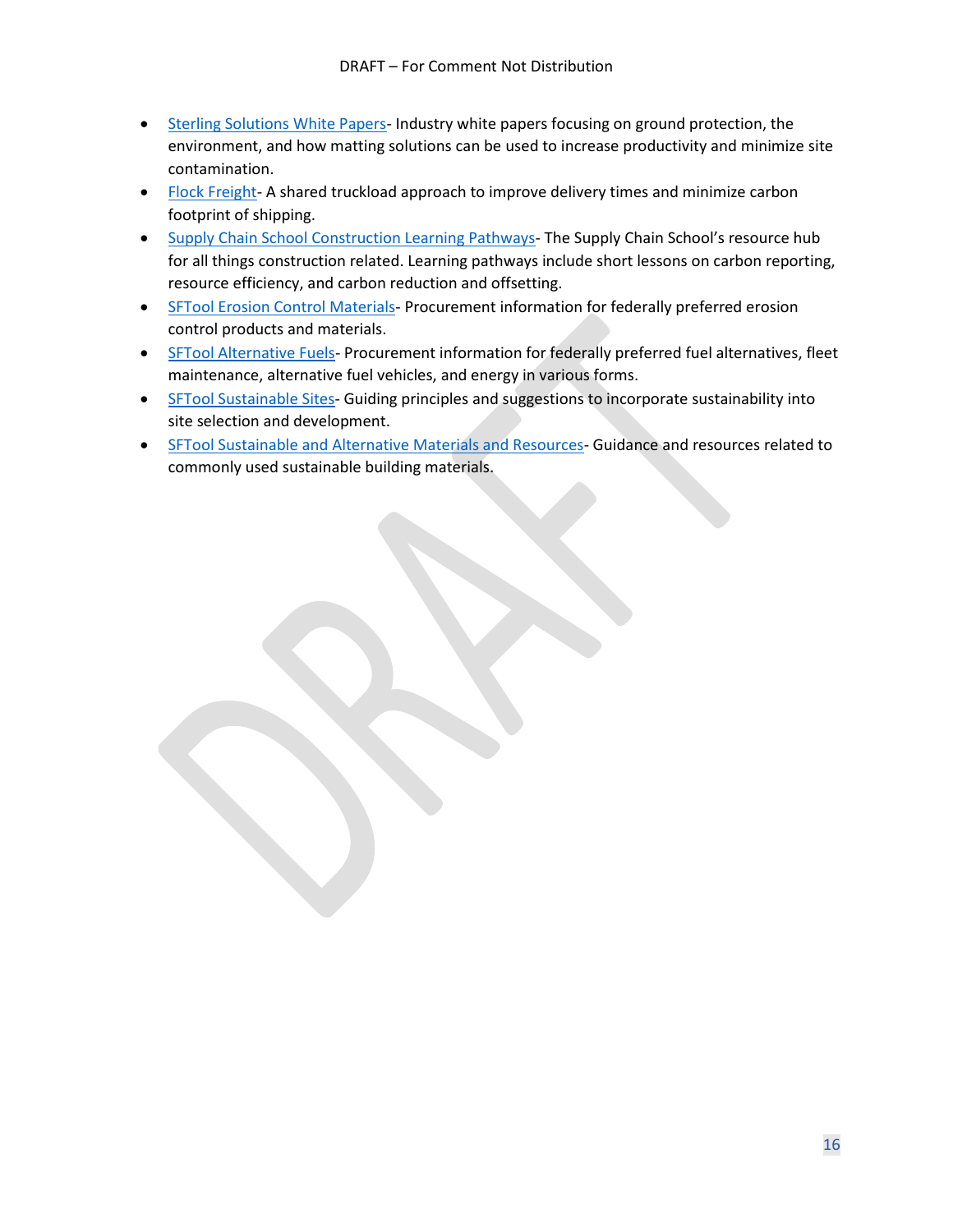- [Sterling Solutions White Papers-](https://www.sterlingsolutions.com/resources/?resource-type=white-paper) Industry white papers focusing on ground protection, the environment, and how matting solutions can be used to increase productivity and minimize site contamination.
- [Flock Freight-](https://www.flockfreight.com/)A shared truckload approach to improve delivery times and minimize carbon footprint of shipping.
- [Supply Chain School Construction Learning Pathways-](https://www.supplychainschool.co.uk/markets/construction/) The Supply Chain School's resource hub for all things construction related. Learning pathways include short lessons on carbon reporting, resource efficiency, and carbon reduction and offsetting.
- [SFTool Erosion Control Materials-](https://sftool.gov/greenprocurement/green-products/16/roadway-construction/1347/erosion-control-materials/0) Procurement information for federally preferred erosion control products and materials.
- [SFTool Alternative Fuels-](https://sftool.gov/gpcsearch?Query=Alternative+Fuels) Procurement information for federally preferred fuel alternatives, fleet maintenance, alternative fuel vehicles, and energy in various forms.
- [SFTool Sustainable Sites-](https://sftool.gov/learn/about/46/sustainable-sites) Guiding principles and suggestions to incorporate sustainability into site selection and development.
- [SFTool Sustainable and Alternative Materials and Resources-](https://sftool.gov/learn/about/43/materials-resources) Guidance and resources related to commonly used sustainable building materials.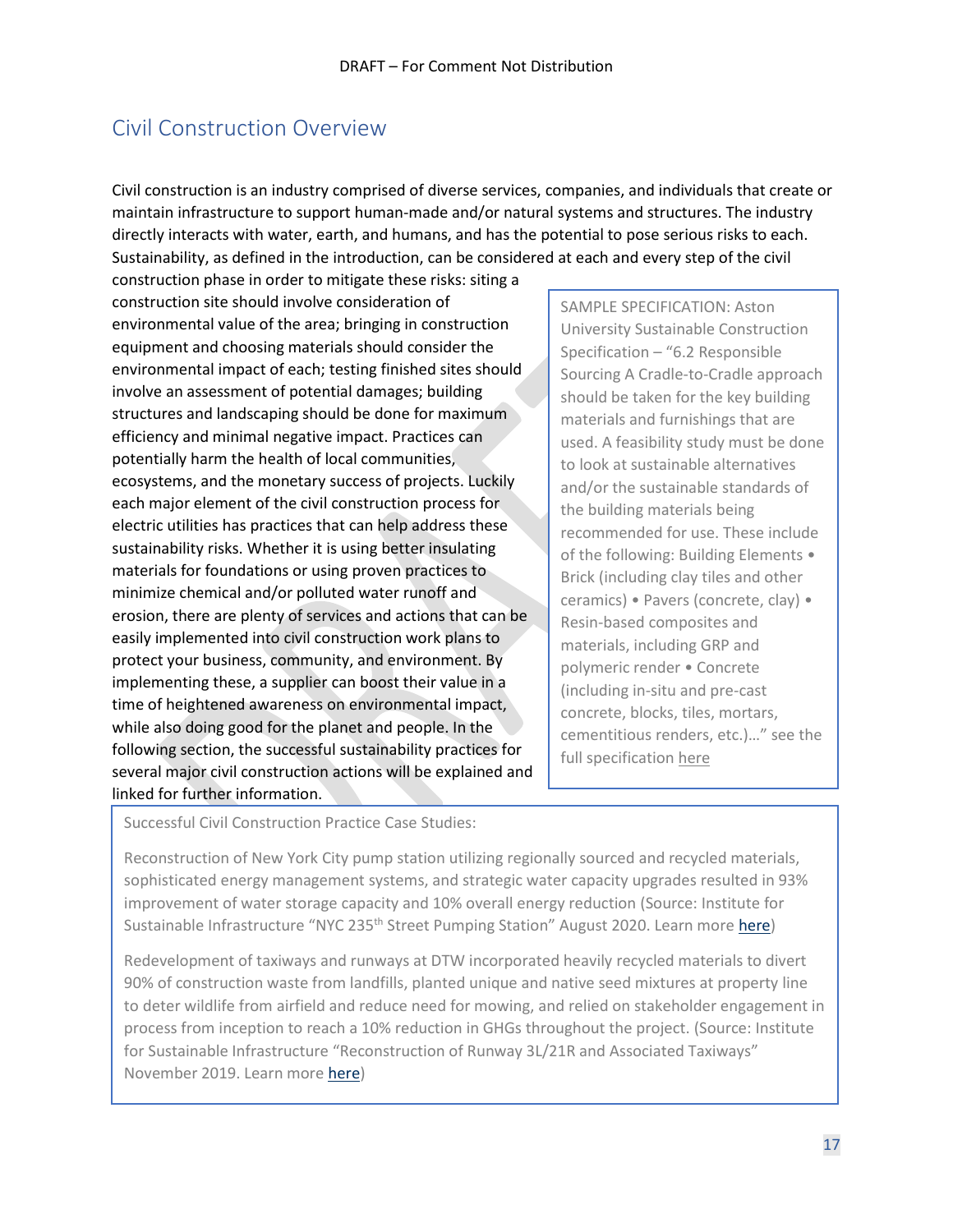## <span id="page-16-0"></span>Civil Construction Overview

Civil construction is an industry comprised of diverse services, companies, and individuals that create or maintain infrastructure to support human-made and/or natural systems and structures. The industry directly interacts with water, earth, and humans, and has the potential to pose serious risks to each. Sustainability, as defined in the introduction, can be considered at each and every step of the civil

construction phase in order to mitigate these risks: siting a construction site should involve consideration of environmental value of the area; bringing in construction equipment and choosing materials should consider the environmental impact of each; testing finished sites should involve an assessment of potential damages; building structures and landscaping should be done for maximum efficiency and minimal negative impact. Practices can potentially harm the health of local communities, ecosystems, and the monetary success of projects. Luckily each major element of the civil construction process for electric utilities has practices that can help address these sustainability risks. Whether it is using better insulating materials for foundations or using proven practices to minimize chemical and/or polluted water runoff and erosion, there are plenty of services and actions that can be easily implemented into civil construction work plans to protect your business, community, and environment. By implementing these, a supplier can boost their value in a time of heightened awareness on environmental impact, while also doing good for the planet and people. In the following section, the successful sustainability practices for several major civil construction actions will be explained and linked for further information.

SAMPLE SPECIFICATION: Aston University Sustainable Construction Specification – "6.2 Responsible Sourcing A Cradle-to-Cradle approach should be taken for the key building materials and furnishings that are used. A feasibility study must be done to look at sustainable alternatives and/or the sustainable standards of the building materials being recommended for use. These include of the following: Building Elements • Brick (including clay tiles and other ceramics) • Pavers (concrete, clay) • Resin-based composites and materials, including GRP and polymeric render • Concrete (including in-situ and pre-cast concrete, blocks, tiles, mortars, cementitious renders, etc.)…" see the full specificatio[n here](https://www2.aston.ac.uk/EasySiteWeb/Sustainable-Construction-Specificationeccf.pdf)

Successful Civil Construction Practice Case Studies:

Reconstruction of New York City pump station utilizing regionally sourced and recycled materials, sophisticated energy management systems, and strategic water capacity upgrades resulted in 93% improvement of water storage capacity and 10% overall energy reduction (Source: Institute for Sustainable Infrastructure "NYC 235<sup>th</sup> Street Pumping Station" August 2020. Learn more [here\)](https://sustainableinfrastructure.org/project-awards/reconstruction-of-235th-street-pumping-station/)

Redevelopment of taxiways and runways at DTW incorporated heavily recycled materials to divert 90% of construction waste from landfills, planted unique and native seed mixtures at property line to deter wildlife from airfield and reduce need for mowing, and relied on stakeholder engagement in process from inception to reach a 10% reduction in GHGs throughout the project. (Source: Institute for Sustainable Infrastructure "Reconstruction of Runway 3L/21R and Associated Taxiways" November 2019. Learn more [here\)](https://sustainableinfrastructure.org/project-awards/reconstruction-of-runway-3l21r-and-associated-taxiways/)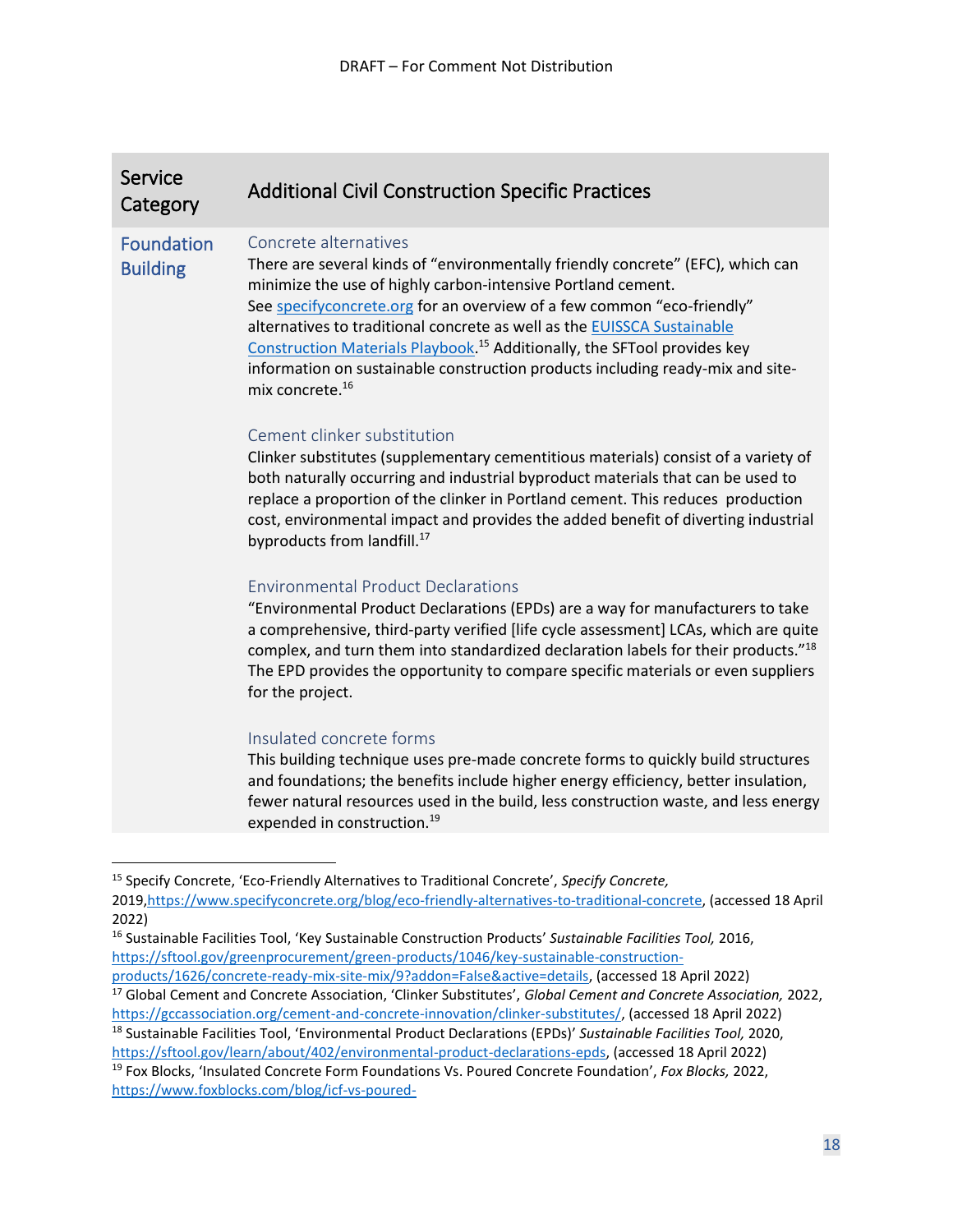<span id="page-17-0"></span>

| <b>Service</b><br>Category           | <b>Additional Civil Construction Specific Practices</b>                                                                                                                                                                                                                                                                                                                                                                                                                                                                                |
|--------------------------------------|----------------------------------------------------------------------------------------------------------------------------------------------------------------------------------------------------------------------------------------------------------------------------------------------------------------------------------------------------------------------------------------------------------------------------------------------------------------------------------------------------------------------------------------|
| <b>Foundation</b><br><b>Building</b> | Concrete alternatives<br>There are several kinds of "environmentally friendly concrete" (EFC), which can<br>minimize the use of highly carbon-intensive Portland cement.<br>See specifyconcrete.org for an overview of a few common "eco-friendly"<br>alternatives to traditional concrete as well as the EUISSCA Sustainable<br>Construction Materials Playbook. <sup>15</sup> Additionally, the SFTool provides key<br>information on sustainable construction products including ready-mix and site-<br>mix concrete. <sup>16</sup> |
|                                      | Cement clinker substitution<br>Clinker substitutes (supplementary cementitious materials) consist of a variety of<br>both naturally occurring and industrial byproduct materials that can be used to<br>replace a proportion of the clinker in Portland cement. This reduces production<br>cost, environmental impact and provides the added benefit of diverting industrial<br>byproducts from landfill. <sup>17</sup>                                                                                                                |
|                                      | <b>Environmental Product Declarations</b><br>"Environmental Product Declarations (EPDs) are a way for manufacturers to take<br>a comprehensive, third-party verified [life cycle assessment] LCAs, which are quite<br>complex, and turn them into standardized declaration labels for their products."18<br>The EPD provides the opportunity to compare specific materials or even suppliers<br>for the project.                                                                                                                       |
|                                      | Insulated concrete forms<br>This building technique uses pre-made concrete forms to quickly build structures<br>and foundations; the benefits include higher energy efficiency, better insulation,<br>fewer natural resources used in the build, less construction waste, and less energy<br>expended in construction. <sup>19</sup>                                                                                                                                                                                                   |
|                                      |                                                                                                                                                                                                                                                                                                                                                                                                                                                                                                                                        |

<sup>15</sup> Specify Concrete, 'Eco-Friendly Alternatives to Traditional Concrete', *Specify Concrete,*

<sup>2019</sup>[,https://www.specifyconcrete.org/blog/eco-friendly-alternatives-to-traditional-concrete,](https://www.specifyconcrete.org/blog/eco-friendly-alternatives-to-traditional-concrete) (accessed 18 April 2022)

<sup>16</sup> Sustainable Facilities Tool, 'Key Sustainable Construction Products' *Sustainable Facilities Tool,* 2016, [https://sftool.gov/greenprocurement/green-products/1046/key-sustainable-construction-](https://sftool.gov/greenprocurement/green-products/1046/key-sustainable-construction-products/1626/concrete-ready-mix-site-mix/9?addon=False&active=details)

[products/1626/concrete-ready-mix-site-mix/9?addon=False&active=details,](https://sftool.gov/greenprocurement/green-products/1046/key-sustainable-construction-products/1626/concrete-ready-mix-site-mix/9?addon=False&active=details) (accessed 18 April 2022) <sup>17</sup> Global Cement and Concrete Association, 'Clinker Substitutes', *Global Cement and Concrete Association,* 2022, [https://gccassociation.org/cement-and-concrete-innovation/clinker-substitutes/,](https://gccassociation.org/cement-and-concrete-innovation/clinker-substitutes/) (accessed 18 April 2022)

<sup>18</sup> Sustainable Facilities Tool, 'Environmental Product Declarations (EPDs)' *Sustainable Facilities Tool,* 2020,

[https://sftool.gov/learn/about/402/environmental-product-declarations-epds,](https://sftool.gov/learn/about/402/environmental-product-declarations-epds) (accessed 18 April 2022) <sup>19</sup> Fox Blocks, 'Insulated Concrete Form Foundations Vs. Poured Concrete Foundation', *Fox Blocks,* 2022, [https://www.foxblocks.com/blog/icf-vs-poured-](https://www.foxblocks.com/blog/icf-vs-poured-concrete#:~:text=%20Insulated%20Concrete%20Forms%20Foundations%20%201%20ICFs,example%2C%20foundations%20built%20with%20Fox%20Blocks...%20More%20)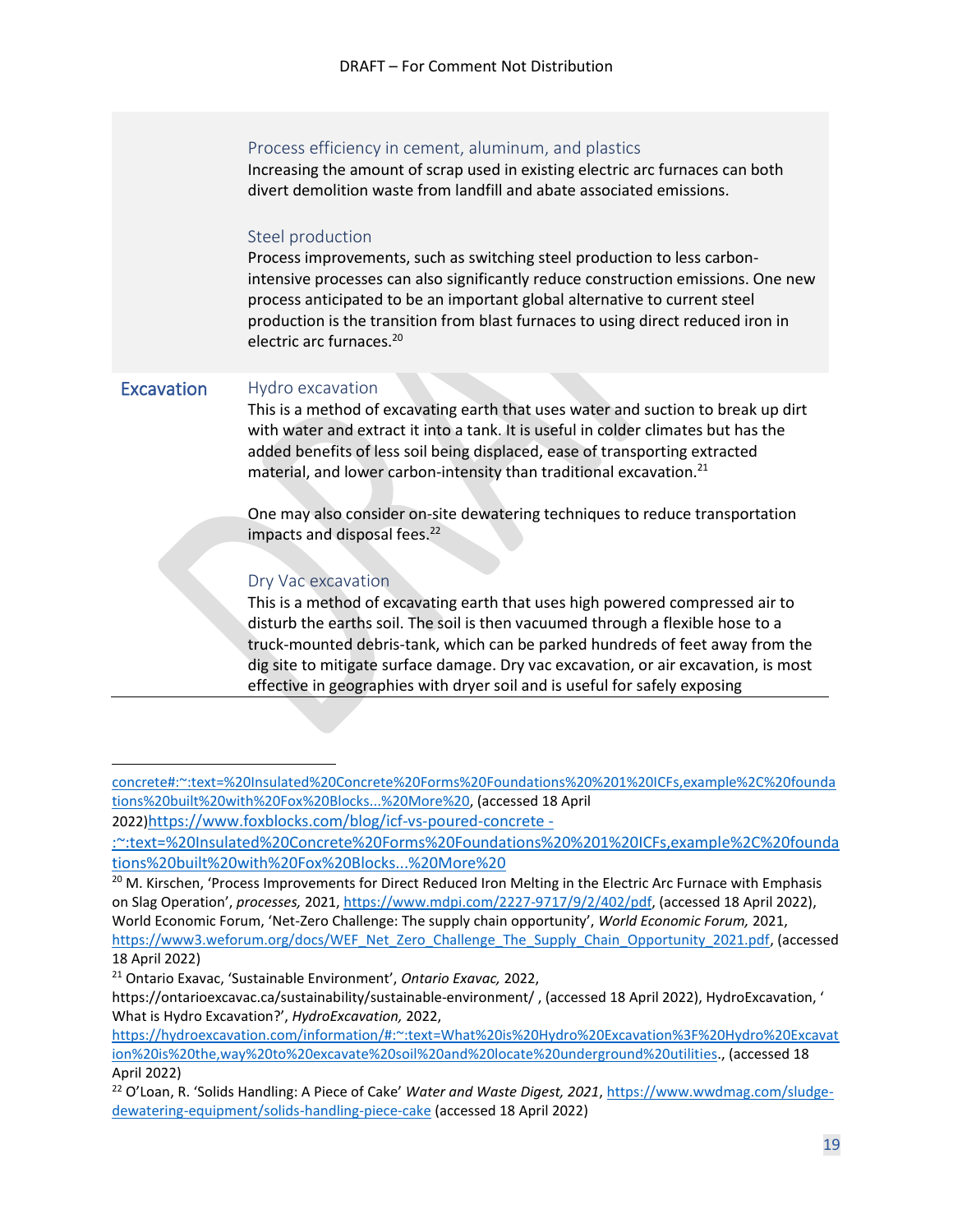#### Process efficiency in cement, aluminum, and plastics

Increasing the amount of scrap used in existing electric arc furnaces can both divert demolition waste from landfill and abate associated emissions.

#### Steel production

Process improvements, such as switching steel production to less carbonintensive processes can also significantly reduce construction emissions. One new process anticipated to be an important global alternative to current steel production is the transition from blast furnaces to using direct reduced iron in electric arc furnaces.<sup>20</sup>

#### <span id="page-18-0"></span>Excavation Hydro excavation

This is a method of excavating earth that uses water and suction to break up dirt with water and extract it into a tank. It is useful in colder climates but has the added benefits of less soil being displaced, ease of transporting extracted material, and lower carbon-intensity than traditional excavation. $^{21}$ 

One may also consider on-site dewatering techniques to reduce transportation impacts and disposal fees. $22$ 

#### Dry Vac excavation

This is a method of excavating earth that uses high powered compressed air to disturb the earths soil. The soil is then vacuumed through a flexible hose to a truck-mounted debris-tank, which can be parked hundreds of feet away from the dig site to mitigate surface damage. Dry vac excavation, or air excavation, is most effective in geographies with dryer soil and is useful for safely exposing

[concrete#:~:text=%20Insulated%20Concrete%20Forms%20Foundations%20%201%20ICFs,example%2C%20founda](https://www.foxblocks.com/blog/icf-vs-poured-concrete#:~:text=%20Insulated%20Concrete%20Forms%20Foundations%20%201%20ICFs,example%2C%20foundations%20built%20with%20Fox%20Blocks...%20More%20) [tions%20built%20with%20Fox%20Blocks...%20More%20,](https://www.foxblocks.com/blog/icf-vs-poured-concrete#:~:text=%20Insulated%20Concrete%20Forms%20Foundations%20%201%20ICFs,example%2C%20foundations%20built%20with%20Fox%20Blocks...%20More%20) (accessed 18 April

<sup>2022)</sup>[https://www.foxblocks.com/blog/icf-vs-poured-concrete -](https://www.foxblocks.com/blog/icf-vs-poured-concrete#:~:text=%20Insulated%20Concrete%20Forms%20Foundations%20%201%20ICFs,example%2C%20foundations%20built%20with%20Fox%20Blocks...%20More%20)

[<sup>:~:</sup>text=%20Insulated%20Concrete%20Forms%20Foundations%20%201%20ICFs,example%2C%20founda](https://www.foxblocks.com/blog/icf-vs-poured-concrete#:~:text=%20Insulated%20Concrete%20Forms%20Foundations%20%201%20ICFs,example%2C%20foundations%20built%20with%20Fox%20Blocks...%20More%20) [tions%20built%20with%20Fox%20Blocks...%20More%20](https://www.foxblocks.com/blog/icf-vs-poured-concrete#:~:text=%20Insulated%20Concrete%20Forms%20Foundations%20%201%20ICFs,example%2C%20foundations%20built%20with%20Fox%20Blocks...%20More%20)

<sup>&</sup>lt;sup>20</sup> M. Kirschen, 'Process Improvements for Direct Reduced Iron Melting in the Electric Arc Furnace with Emphasis on Slag Operation', *processes,* 2021, [https://www.mdpi.com/2227-9717/9/2/402/pdf,](https://www.mdpi.com/2227-9717/9/2/402/pdf) (accessed 18 April 2022), World Economic Forum, 'Net-Zero Challenge: The supply chain opportunity', *World Economic Forum,* 2021, [https://www3.weforum.org/docs/WEF\\_Net\\_Zero\\_Challenge\\_The\\_Supply\\_Chain\\_Opportunity\\_2021.pdf,](https://www3.weforum.org/docs/WEF_Net_Zero_Challenge_The_Supply_Chain_Opportunity_2021.pdf) (accessed 18 April 2022)

<sup>21</sup> Ontario Exavac, 'Sustainable Environment', *Ontario Exavac,* 2022,

https://ontarioexcavac.ca/sustainability/sustainable-environment/ , (accessed 18 April 2022), HydroExcavation, ' What is Hydro Excavation?', *HydroExcavation,* 2022,

[https://hydroexcavation.com/information/#:~:text=What%20is%20Hydro%20Excavation%3F%20Hydro%20Excavat](https://hydroexcavation.com/information/#:~:text=What%20is%20Hydro%20Excavation%3F%20Hydro%20Excavation%20is%20the,way%20to%20excavate%20soil%20and%20locate%20underground%20utilities) [ion%20is%20the,way%20to%20excavate%20soil%20and%20locate%20underground%20utilities.](https://hydroexcavation.com/information/#:~:text=What%20is%20Hydro%20Excavation%3F%20Hydro%20Excavation%20is%20the,way%20to%20excavate%20soil%20and%20locate%20underground%20utilities), (accessed 18 April 2022)

<sup>22</sup> O'Loan, R. 'Solids Handling: A Piece of Cake' *Water and Waste Digest, 2021*, [https://www.wwdmag.com/sludge](https://www.wwdmag.com/sludge-dewatering-equipment/solids-handling-piece-cake)[dewatering-equipment/solids-handling-piece-cake](https://www.wwdmag.com/sludge-dewatering-equipment/solids-handling-piece-cake) (accessed 18 April 2022)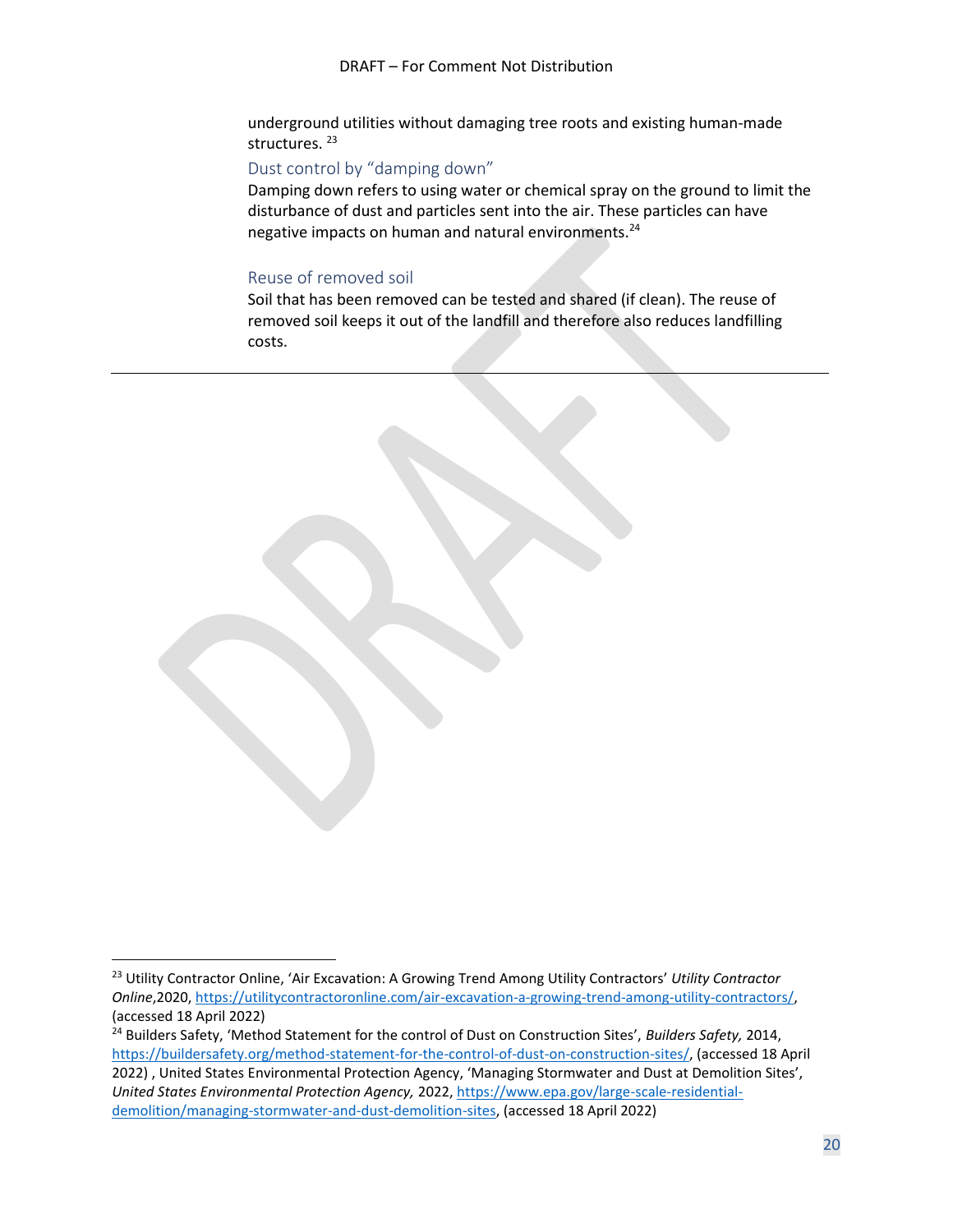underground utilities without damaging tree roots and existing human-made structures.<sup>23</sup>

#### Dust control by "damping down"

Damping down refers to using water or chemical spray on the ground to limit the disturbance of dust and particles sent into the air. These particles can have negative impacts on human and natural environments.<sup>24</sup>

#### Reuse of removed soil

Soil that has been removed can be tested and shared (if clean). The reuse of removed soil keeps it out of the landfill and therefore also reduces landfilling costs.

<sup>23</sup> Utility Contractor Online, 'Air Excavation: A Growing Trend Among Utility Contractors' *Utility Contractor Online*,2020[, https://utilitycontractoronline.com/air-excavation-a-growing-trend-among-utility-contractors/,](https://utilitycontractoronline.com/air-excavation-a-growing-trend-among-utility-contractors/) (accessed 18 April 2022)

<sup>24</sup> Builders Safety, 'Method Statement for the control of Dust on Construction Sites', *Builders Safety,* 2014, [https://buildersafety.org/method-statement-for-the-control-of-dust-on-construction-sites/,](https://buildersafety.org/method-statement-for-the-control-of-dust-on-construction-sites/) (accessed 18 April 2022) , United States Environmental Protection Agency, 'Managing Stormwater and Dust at Demolition Sites', *United States Environmental Protection Agency,* 2022[, https://www.epa.gov/large-scale-residential](https://www.epa.gov/large-scale-residential-demolition/managing-stormwater-and-dust-demolition-sites)[demolition/managing-stormwater-and-dust-demolition-sites,](https://www.epa.gov/large-scale-residential-demolition/managing-stormwater-and-dust-demolition-sites) (accessed 18 April 2022)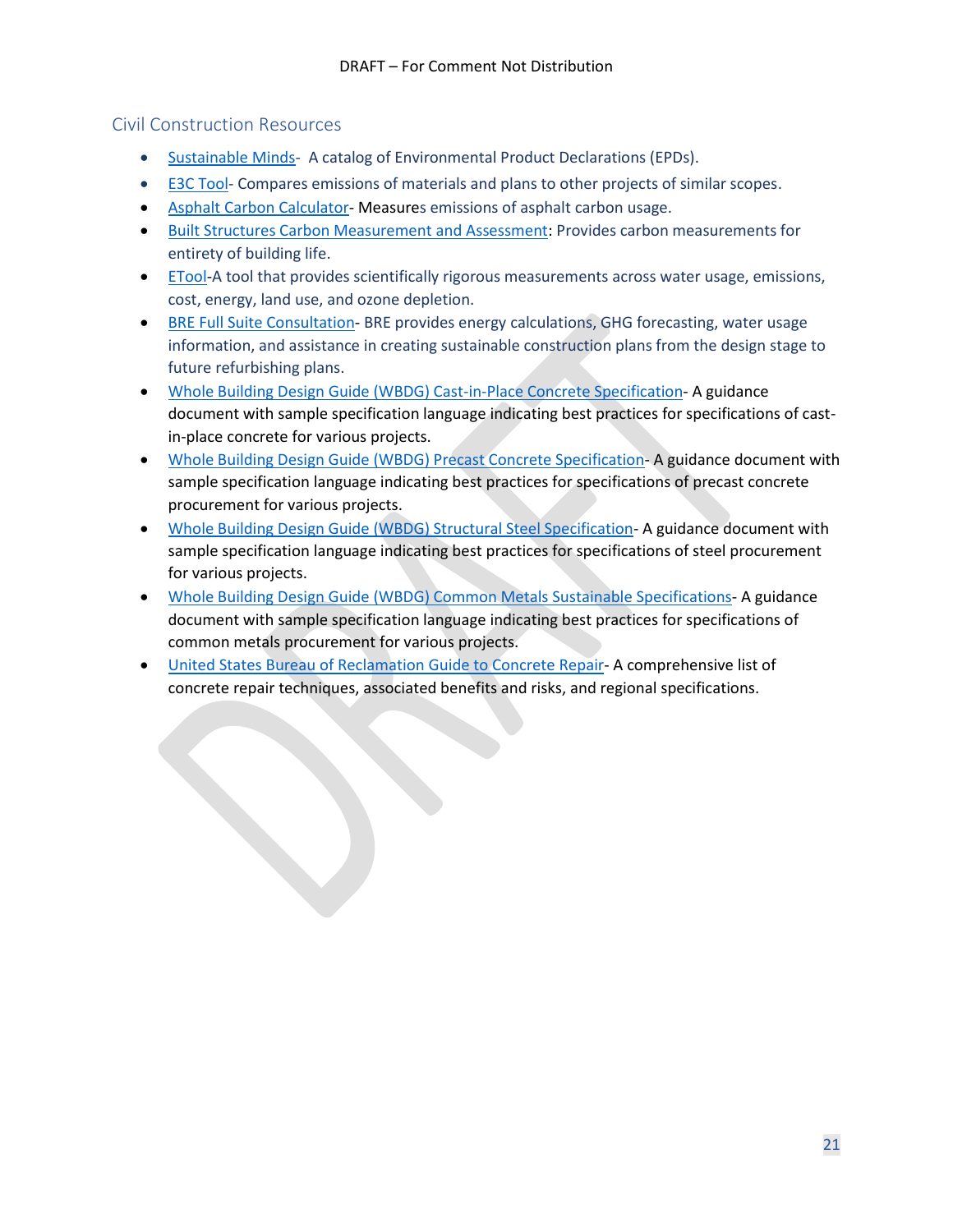#### <span id="page-20-0"></span>Civil Construction Resources

- [Sustainable Minds-](https://www.transparencycatalog.com/) A catalog of Environmental Product Declarations (EPDs).
- [E3C Tool-](https://www.buildingtransparency.org/) Compares emissions of materials and plans to other projects of similar scopes.
- [Asphalt Carbon Calculator-](https://trl.co.uk/permanent-landing-pages/asphalt-pavement-embodied-carbon-tool-aspect/) Measures emissions of asphalt carbon usage.
- [Built Structures Carbon Measurement and Assessment:](https://assets.publishing.service.gov.uk/government/uploads/system/uploads/attachment_data/file/571707/LIT_7067.pdf) Provides carbon measurements for entirety of building life.
- [ETool-](https://etoolglobal.com/)A tool that provides scientifically rigorous measurements across water usage, emissions, cost, energy, land use, and ozone depletion.
- [BRE Full Suite Consultation-](https://www.bregroup.com/services/testing/?cn-reloaded=1) BRE provides energy calculations, GHG forecasting, water usage information, and assistance in creating sustainable construction plans from the design stage to future refurbishing plans.
- [Whole Building Design Guide \(WBDG\) Cast-in-Place Concrete Specification-](https://www.wbdg.org/FFC/EPA/FEDGREEN/fgs_033000.pdf) A guidance document with sample specification language indicating best practices for specifications of castin-place concrete for various projects.
- [Whole Building Design Guide \(WBDG\) Precast Concrete Specification-](https://www.wbdg.org/FFC/EPA/FEDGREEN/fgs_034000.pdf) A guidance document with sample specification language indicating best practices for specifications of precast concrete procurement for various projects.
- [Whole Building Design Guide \(WBDG\) Structural Steel Specification-](https://www.wbdg.org/FFC/EPA/FEDGREEN/fgs_051000.pdf) A guidance document with sample specification language indicating best practices for specifications of steel procurement for various projects.
- [Whole Building Design Guide \(WBDG\) Common Metals Sustainable Specifications-](https://www.wbdg.org/FFC/EPA/FEDGREEN/fgs_050500.pdf) A guidance document with sample specification language indicating best practices for specifications of common metals procurement for various projects.
- [United States Bureau of Reclamation Guide to Concrete Repair-](https://www.usbr.gov/tsc/techreferences/mands/mands-pdfs/Guide2ConcreteRepair2015_Final.pdf) A comprehensive list of concrete repair techniques, associated benefits and risks, and regional specifications.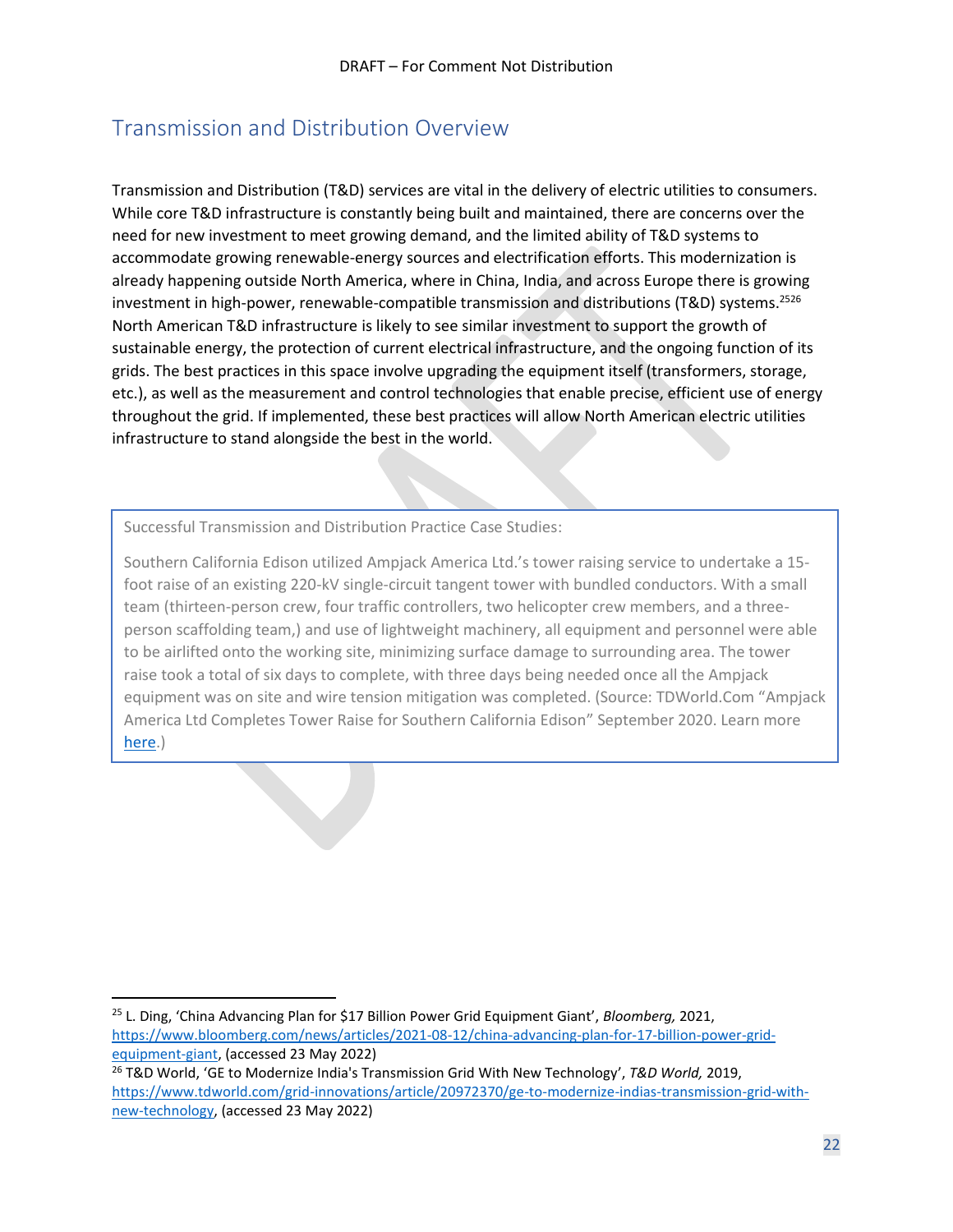## <span id="page-21-0"></span>Transmission and Distribution Overview

Transmission and Distribution (T&D) services are vital in the delivery of electric utilities to consumers. While core T&D infrastructure is constantly being built and maintained, there are concerns over the need for new investment to meet growing demand, and the limited ability of T&D systems to accommodate growing renewable-energy sources and electrification efforts. This modernization is already happening outside North America, where in China, India, and across Europe there is growing investment in high-power, renewable-compatible transmission and distributions (T&D) systems.<sup>2526</sup> North American T&D infrastructure is likely to see similar investment to support the growth of sustainable energy, the protection of current electrical infrastructure, and the ongoing function of its grids. The best practices in this space involve upgrading the equipment itself (transformers, storage, etc.), as well as the measurement and control technologies that enable precise, efficient use of energy throughout the grid. If implemented, these best practices will allow North American electric utilities infrastructure to stand alongside the best in the world.

Successful Transmission and Distribution Practice Case Studies:

Southern California Edison utilized Ampjack America Ltd.'s tower raising service to undertake a 15 foot raise of an existing 220-kV single-circuit tangent tower with bundled conductors. With a small team (thirteen-person crew, four traffic controllers, two helicopter crew members, and a threeperson scaffolding team,) and use of lightweight machinery, all equipment and personnel were able to be airlifted onto the working site, minimizing surface damage to surrounding area. The tower raise took a total of six days to complete, with three days being needed once all the Ampjack equipment was on site and wire tension mitigation was completed. (Source: TDWorld.Com "Ampjack America Ltd Completes Tower Raise for Southern California Edison" September 2020. Learn more [here.](https://www.tdworld.com/overhead-transmission/article/21142987/ampjack-industries-ltd-ampjack-america-ltd-completes-tower-raise-for-southern-california-edison))

Implementation of bioswales and remediation and reuse of contaminated soils contributed to resilience of the Albion Riverside Park by diverting 85% of annual rainwater. (Source: Institute for

<sup>25</sup> L. Ding, 'China Advancing Plan for \$17 Billion Power Grid Equipment Giant', *Bloomberg,* 2021, [https://www.bloomberg.com/news/articles/2021-08-12/china-advancing-plan-for-17-billion-power-grid](https://www.bloomberg.com/news/articles/2021-08-12/china-advancing-plan-for-17-billion-power-grid-equipment-giant)[equipment-giant,](https://www.bloomberg.com/news/articles/2021-08-12/china-advancing-plan-for-17-billion-power-grid-equipment-giant) (accessed 23 May 2022) <sup>26</sup> T&D World, 'GE to Modernize India's Transmission Grid With New Technology', *T&D World,* 2019,

[https://www.tdworld.com/grid-innovations/article/20972370/ge-to-modernize-indias-transmission-grid-with](https://www.tdworld.com/grid-innovations/article/20972370/ge-to-modernize-indias-transmission-grid-with-new-technology)[new-technology,](https://www.tdworld.com/grid-innovations/article/20972370/ge-to-modernize-indias-transmission-grid-with-new-technology) (accessed 23 May 2022)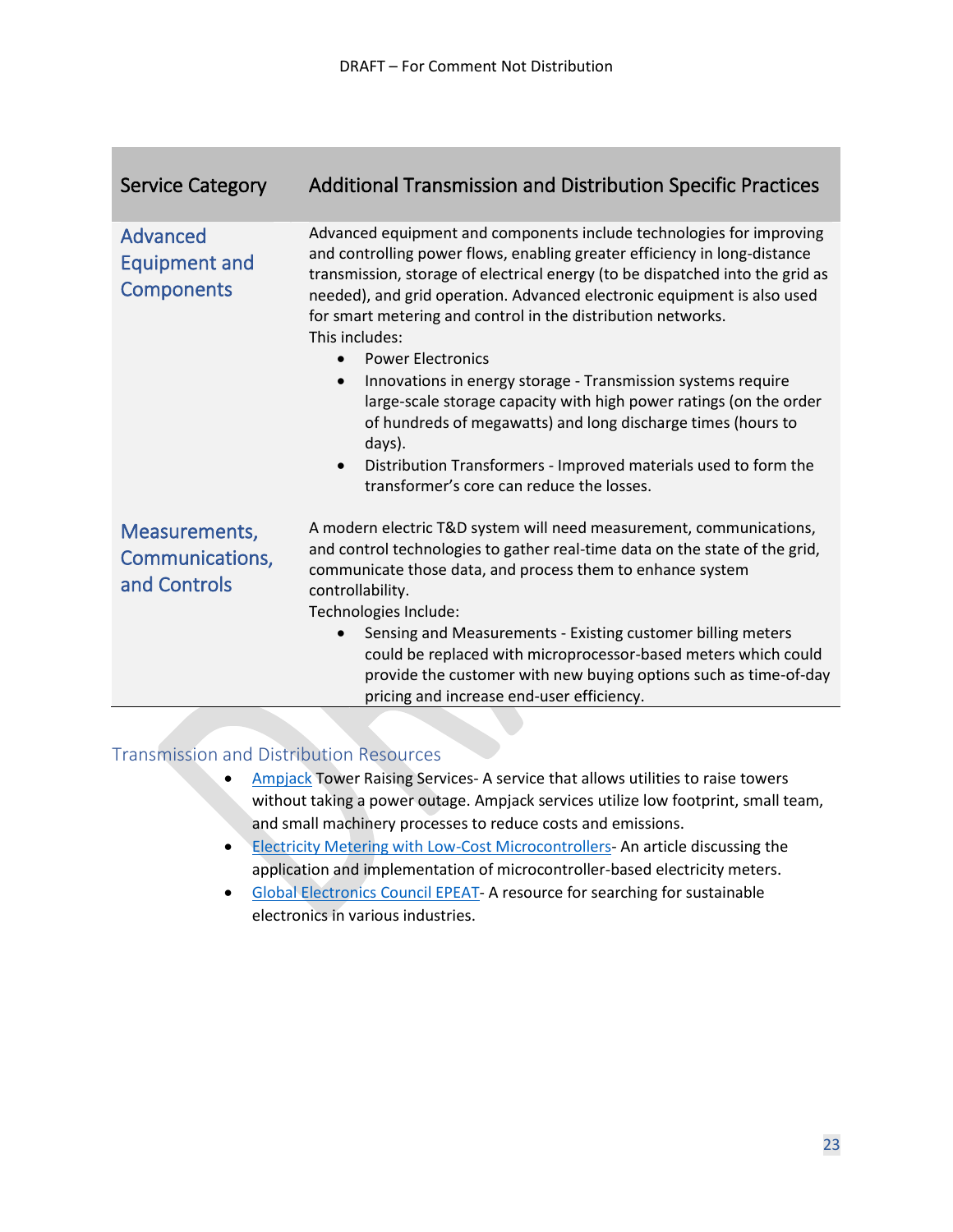| <b>Service Category</b>                          | <b>Additional Transmission and Distribution Specific Practices</b>                                                                                                                                                                                                                                                                                                                                                                                                                                                                                                                                                                                                                                                                                                                    |
|--------------------------------------------------|---------------------------------------------------------------------------------------------------------------------------------------------------------------------------------------------------------------------------------------------------------------------------------------------------------------------------------------------------------------------------------------------------------------------------------------------------------------------------------------------------------------------------------------------------------------------------------------------------------------------------------------------------------------------------------------------------------------------------------------------------------------------------------------|
| Advanced<br>Equipment and<br><b>Components</b>   | Advanced equipment and components include technologies for improving<br>and controlling power flows, enabling greater efficiency in long-distance<br>transmission, storage of electrical energy (to be dispatched into the grid as<br>needed), and grid operation. Advanced electronic equipment is also used<br>for smart metering and control in the distribution networks.<br>This includes:<br><b>Power Electronics</b><br>Innovations in energy storage - Transmission systems require<br>$\bullet$<br>large-scale storage capacity with high power ratings (on the order<br>of hundreds of megawatts) and long discharge times (hours to<br>days).<br>Distribution Transformers - Improved materials used to form the<br>$\bullet$<br>transformer's core can reduce the losses. |
| Measurements,<br>Communications,<br>and Controls | A modern electric T&D system will need measurement, communications,<br>and control technologies to gather real-time data on the state of the grid,<br>communicate those data, and process them to enhance system<br>controllability.<br>Technologies Include:<br>Sensing and Measurements - Existing customer billing meters<br>$\bullet$<br>could be replaced with microprocessor-based meters which could<br>provide the customer with new buying options such as time-of-day<br>pricing and increase end-user efficiency.                                                                                                                                                                                                                                                          |

#### <span id="page-22-0"></span>Transmission and Distribution Resources

- [Ampjack](https://www.ampjack.ca/index.php/about/) Tower Raising Services-A service that allows utilities to raise towers without taking a power outage. Ampjack services utilize low footprint, small team, and small machinery processes to reduce costs and emissions.
- [Electricity Metering with Low-Cost Microcontrollers-](https://www.maximintegrated.com/en/design/technical-documents/app-notes/3/3982.html) An article discussing the application and implementation of microcontroller-based electricity meters.
- [Global Electronics](https://www.epeat.net/about-epeat) Council EPEAT- A resource for searching for sustainable electronics in various industries.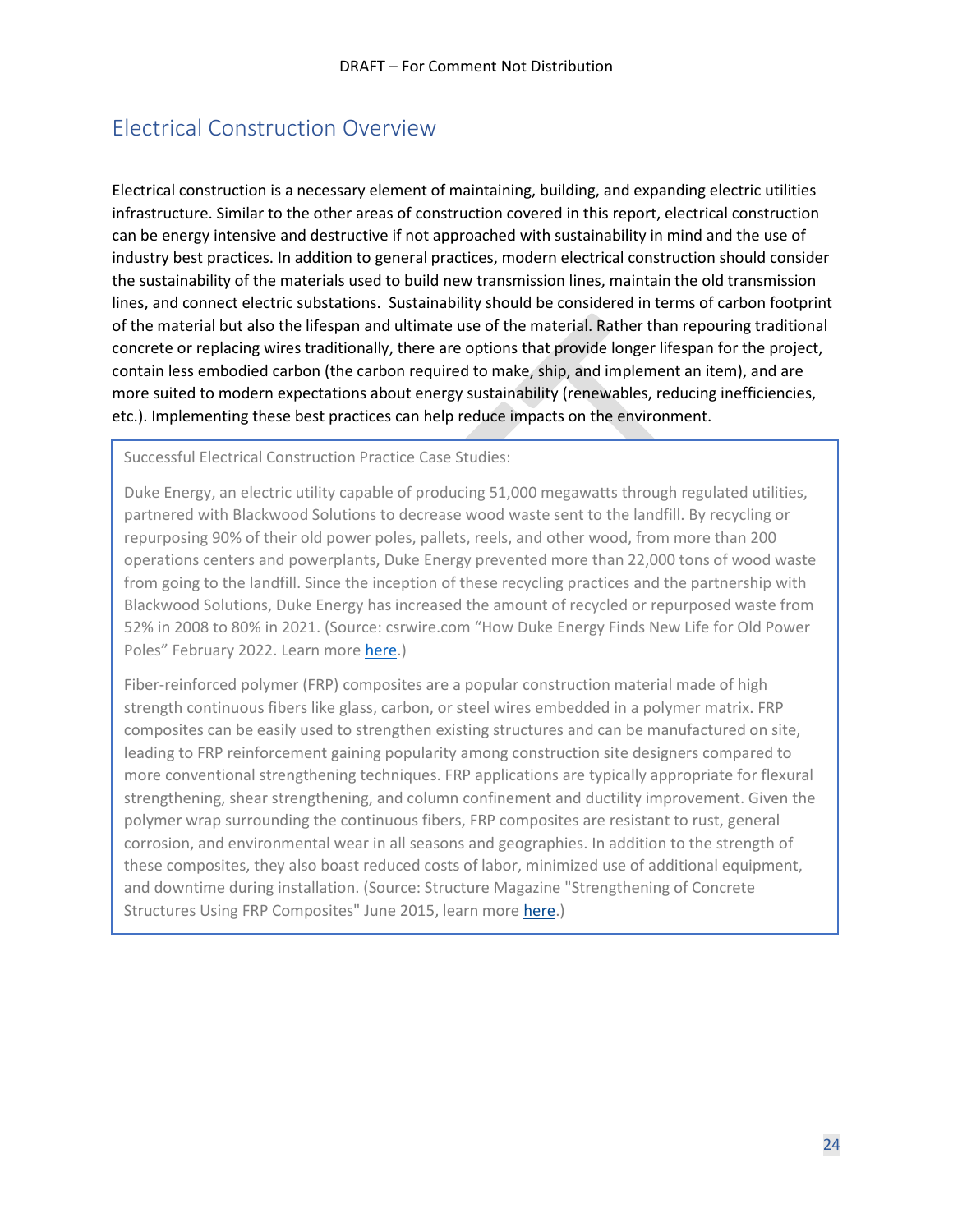## <span id="page-23-0"></span>Electrical Construction Overview

Electrical construction is a necessary element of maintaining, building, and expanding electric utilities infrastructure. Similar to the other areas of construction covered in this report, electrical construction can be energy intensive and destructive if not approached with sustainability in mind and the use of industry best practices. In addition to general practices, modern electrical construction should consider the sustainability of the materials used to build new transmission lines, maintain the old transmission lines, and connect electric substations. Sustainability should be considered in terms of carbon footprint of the material but also the lifespan and ultimate use of the material. Rather than repouring traditional concrete or replacing wires traditionally, there are options that provide longer lifespan for the project, contain less embodied carbon (the carbon required to make, ship, and implement an item), and are more suited to modern expectations about energy sustainability (renewables, reducing inefficiencies, etc.). Implementing these best practices can help reduce impacts on the environment.

Successful Electrical Construction Practice Case Studies:

Duke Energy, an electric utility capable of producing 51,000 megawatts through regulated utilities, partnered with Blackwood Solutions to decrease wood waste sent to the landfill. By recycling or repurposing 90% of their old power poles, pallets, reels, and other wood, from more than 200 operations centers and powerplants, Duke Energy prevented more than 22,000 tons of wood waste from going to the landfill. Since the inception of these recycling practices and the partnership with Blackwood Solutions, Duke Energy has increased the amount of recycled or repurposed waste from 52% in 2008 to 80% in 2021. (Source: csrwire.com "How Duke Energy Finds New Life for Old Power Poles" February 2022. Learn more [here.](https://www.csrwire.com/press_releases/737416-how-duke-energy-finds-new-life-old-power-poles))

Fiber-reinforced polymer (FRP) composites are a popular construction material made of high strength continuous fibers like glass, carbon, or steel wires embedded in a polymer matrix. FRP composites can be easily used to strengthen existing structures and can be manufactured on site, leading to FRP reinforcement gaining popularity among construction site designers compared to more conventional strengthening techniques. FRP applications are typically appropriate for flexural strengthening, shear strengthening, and column confinement and ductility improvement. Given the polymer wrap surrounding the continuous fibers, FRP composites are resistant to rust, general corrosion, and environmental wear in all seasons and geographies. In addition to the strength of these composites, they also boast reduced costs of labor, minimized use of additional equipment, and downtime during installation. (Source: Structure Magazine "Strengthening of Concrete Structures Using FRP Composites" June 2015, learn more [here.](https://www.structuremag.org/?p=8643))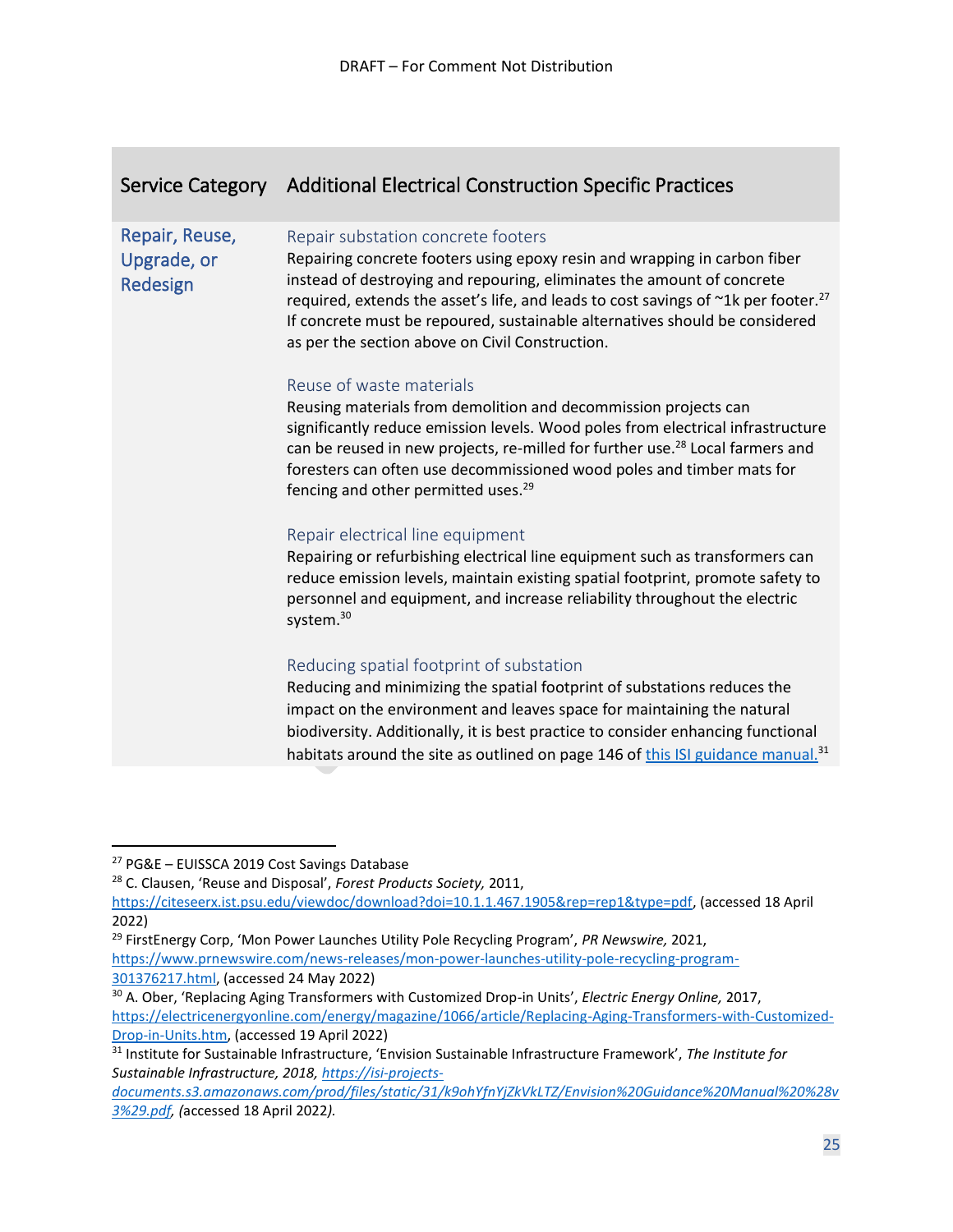|                                           | Service Category Additional Electrical Construction Specific Practices                                                                                                                                                                                                                                                                                                                                                        |
|-------------------------------------------|-------------------------------------------------------------------------------------------------------------------------------------------------------------------------------------------------------------------------------------------------------------------------------------------------------------------------------------------------------------------------------------------------------------------------------|
| Repair, Reuse,<br>Upgrade, or<br>Redesign | Repair substation concrete footers<br>Repairing concrete footers using epoxy resin and wrapping in carbon fiber<br>instead of destroying and repouring, eliminates the amount of concrete<br>required, extends the asset's life, and leads to cost savings of ~1k per footer. <sup>27</sup><br>If concrete must be repoured, sustainable alternatives should be considered<br>as per the section above on Civil Construction. |
|                                           | Reuse of waste materials<br>Reusing materials from demolition and decommission projects can<br>significantly reduce emission levels. Wood poles from electrical infrastructure<br>can be reused in new projects, re-milled for further use. <sup>28</sup> Local farmers and<br>foresters can often use decommissioned wood poles and timber mats for<br>fencing and other permitted uses. <sup>29</sup>                       |
|                                           | Repair electrical line equipment<br>Repairing or refurbishing electrical line equipment such as transformers can<br>reduce emission levels, maintain existing spatial footprint, promote safety to<br>personnel and equipment, and increase reliability throughout the electric<br>system. <sup>30</sup>                                                                                                                      |
|                                           | Reducing spatial footprint of substation<br>Reducing and minimizing the spatial footprint of substations reduces the<br>impact on the environment and leaves space for maintaining the natural<br>biodiversity. Additionally, it is best practice to consider enhancing functional<br>habitats around the site as outlined on page 146 of this ISI guidance manual. <sup>31</sup>                                             |

<sup>29</sup> FirstEnergy Corp, 'Mon Power Launches Utility Pole Recycling Program', *PR Newswire,* 2021, [https://www.prnewswire.com/news-releases/mon-power-launches-utility-pole-recycling-program-](https://www.prnewswire.com/news-releases/mon-power-launches-utility-pole-recycling-program-301376217.html)[301376217.html,](https://www.prnewswire.com/news-releases/mon-power-launches-utility-pole-recycling-program-301376217.html) (accessed 24 May 2022)

<sup>27</sup> PG&E – EUISSCA 2019 Cost Savings Database

<sup>28</sup> C. Clausen, 'Reuse and Disposal', *Forest Products Society,* 2011,

[https://citeseerx.ist.psu.edu/viewdoc/download?doi=10.1.1.467.1905&rep=rep1&type=pdf,](https://citeseerx.ist.psu.edu/viewdoc/download?doi=10.1.1.467.1905&rep=rep1&type=pdf) (accessed 18 April 2022)

<sup>30</sup> A. Ober, 'Replacing Aging Transformers with Customized Drop-in Units', *Electric Energy Online,* 2017, [https://electricenergyonline.com/energy/magazine/1066/article/Replacing-Aging-Transformers-with-Customized-](https://electricenergyonline.com/energy/magazine/1066/article/Replacing-Aging-Transformers-with-Customized-Drop-in-Units.htm)[Drop-in-Units.htm,](https://electricenergyonline.com/energy/magazine/1066/article/Replacing-Aging-Transformers-with-Customized-Drop-in-Units.htm) (accessed 19 April 2022)

<sup>31</sup> Institute for Sustainable Infrastructure, 'Envision Sustainable Infrastructure Framework', *The Institute for Sustainable Infrastructure, 2018, [https://isi-projects-](https://isi-projects-documents.s3.amazonaws.com/prod/files/static/31/k9ohYfnYjZkVkLTZ/Envision%20Guidance%20Manual%20%28v3%29.pdf)*

*[documents.s3.amazonaws.com/prod/files/static/31/k9ohYfnYjZkVkLTZ/Envision%20Guidance%20Manual%20%28v](https://isi-projects-documents.s3.amazonaws.com/prod/files/static/31/k9ohYfnYjZkVkLTZ/Envision%20Guidance%20Manual%20%28v3%29.pdf) [3%29.pdf,](https://isi-projects-documents.s3.amazonaws.com/prod/files/static/31/k9ohYfnYjZkVkLTZ/Envision%20Guidance%20Manual%20%28v3%29.pdf) (*accessed 18 April 2022*).*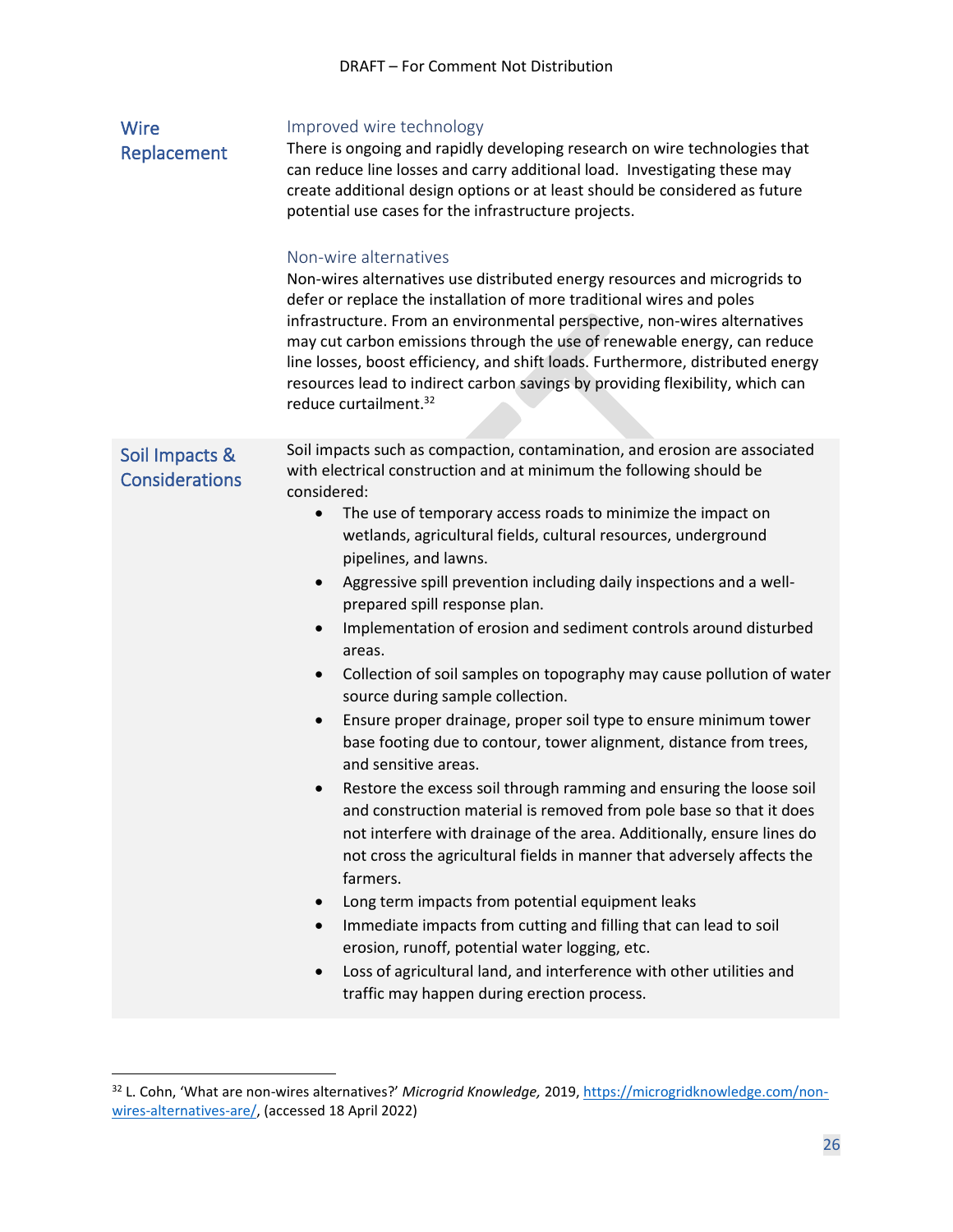<span id="page-25-1"></span><span id="page-25-0"></span>

| <b>Wire</b><br>Replacement              | Improved wire technology<br>There is ongoing and rapidly developing research on wire technologies that<br>can reduce line losses and carry additional load. Investigating these may<br>create additional design options or at least should be considered as future<br>potential use cases for the infrastructure projects.<br>Non-wire alternatives<br>Non-wires alternatives use distributed energy resources and microgrids to<br>defer or replace the installation of more traditional wires and poles<br>infrastructure. From an environmental perspective, non-wires alternatives<br>may cut carbon emissions through the use of renewable energy, can reduce<br>line losses, boost efficiency, and shift loads. Furthermore, distributed energy<br>resources lead to indirect carbon savings by providing flexibility, which can<br>reduce curtailment. <sup>32</sup>                                                                                                                                                                                                                                                                                                                                                                                                                                                                                                                                                                                                                               |
|-----------------------------------------|-----------------------------------------------------------------------------------------------------------------------------------------------------------------------------------------------------------------------------------------------------------------------------------------------------------------------------------------------------------------------------------------------------------------------------------------------------------------------------------------------------------------------------------------------------------------------------------------------------------------------------------------------------------------------------------------------------------------------------------------------------------------------------------------------------------------------------------------------------------------------------------------------------------------------------------------------------------------------------------------------------------------------------------------------------------------------------------------------------------------------------------------------------------------------------------------------------------------------------------------------------------------------------------------------------------------------------------------------------------------------------------------------------------------------------------------------------------------------------------------------------------|
| Soil Impacts &<br><b>Considerations</b> | Soil impacts such as compaction, contamination, and erosion are associated<br>with electrical construction and at minimum the following should be<br>considered:<br>The use of temporary access roads to minimize the impact on<br>$\bullet$<br>wetlands, agricultural fields, cultural resources, underground<br>pipelines, and lawns.<br>Aggressive spill prevention including daily inspections and a well-<br>$\bullet$<br>prepared spill response plan.<br>Implementation of erosion and sediment controls around disturbed<br>$\bullet$<br>areas.<br>Collection of soil samples on topography may cause pollution of water<br>$\bullet$<br>source during sample collection.<br>Ensure proper drainage, proper soil type to ensure minimum tower<br>$\bullet$<br>base footing due to contour, tower alignment, distance from trees,<br>and sensitive areas.<br>Restore the excess soil through ramming and ensuring the loose soil<br>$\bullet$<br>and construction material is removed from pole base so that it does<br>not interfere with drainage of the area. Additionally, ensure lines do<br>not cross the agricultural fields in manner that adversely affects the<br>farmers.<br>Long term impacts from potential equipment leaks<br>Immediate impacts from cutting and filling that can lead to soil<br>erosion, runoff, potential water logging, etc.<br>Loss of agricultural land, and interference with other utilities and<br>$\bullet$<br>traffic may happen during erection process. |

<sup>32</sup> L. Cohn, 'What are non-wires alternatives?' *Microgrid Knowledge,* 2019, [https://microgridknowledge.com/non](https://microgridknowledge.com/non-wires-alternatives-are/)[wires-alternatives-are/,](https://microgridknowledge.com/non-wires-alternatives-are/) (accessed 18 April 2022)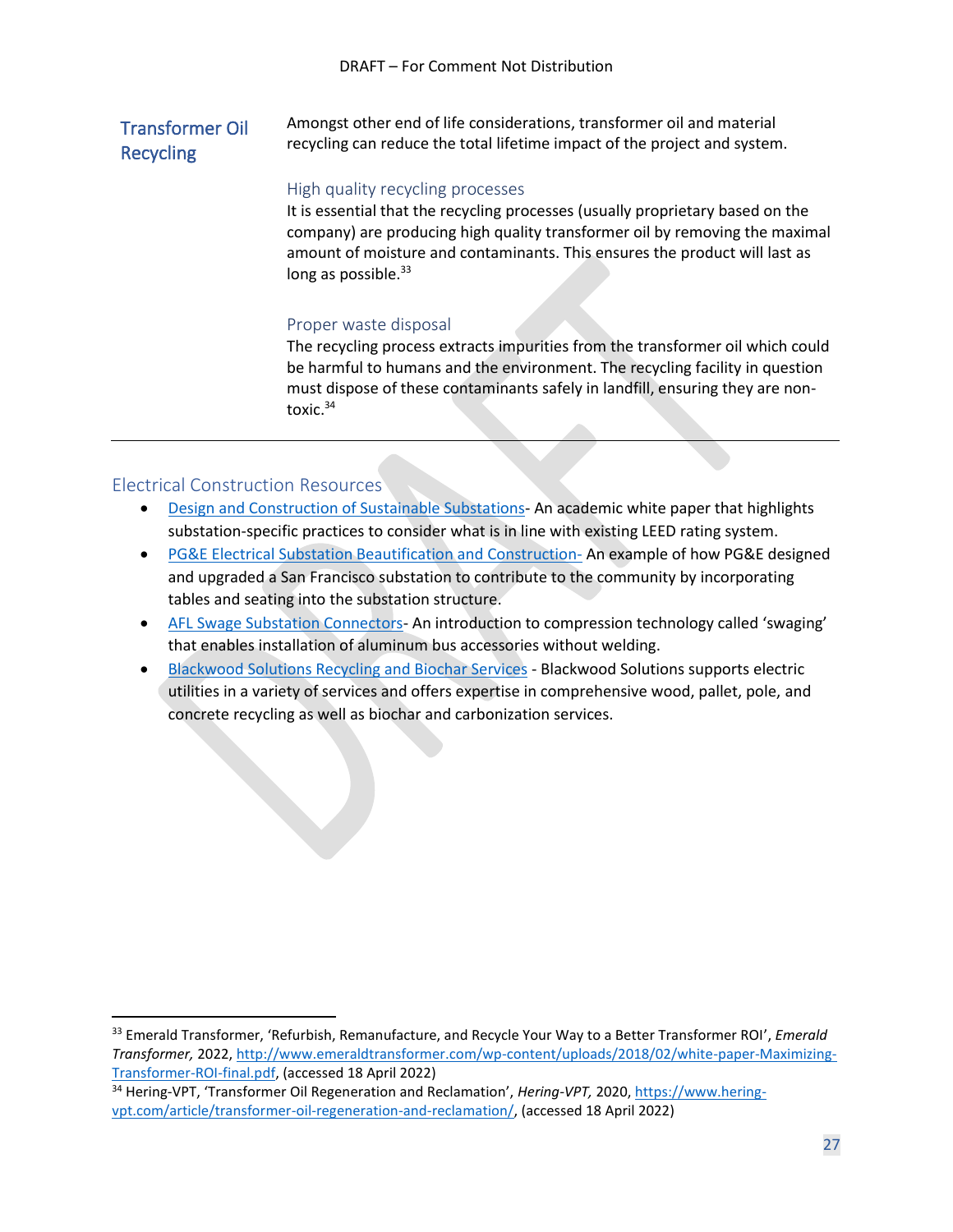#### <span id="page-26-0"></span>Transformer Oil Recycling Amongst other end of life considerations, transformer oil and material recycling can reduce the total lifetime impact of the project and system.

#### High quality recycling processes

It is essential that the recycling processes (usually proprietary based on the company) are producing high quality transformer oil by removing the maximal amount of moisture and contaminants. This ensures the product will last as long as possible.<sup>33</sup>

#### Proper waste disposal

The recycling process extracts impurities from the transformer oil which could be harmful to humans and the environment. The recycling facility in question must dispose of these contaminants safely in landfill, ensuring they are nontoxic.<sup>34</sup>

#### <span id="page-26-1"></span>Electrical Construction Resources

- [Design and Construction of Sustainable Substations-](https://studylib.net/doc/25262528/design-and-construction-of-substation-design) An academic white paper that highlights substation-specific practices to consider what is in line with existing LEED rating system.
- [PG&E Electrical Substation Beautification and Construction-](https://www.architecturalrecord.com/articles/15262-pge-electrical-substations-by-stanley-saitowitz-and-natoma-architects) An example of how PG&E designed and upgraded a San Francisco substation to contribute to the community by incorporating tables and seating into the substation structure.
- [AFL Swage Substation Connectors-](https://www.tdworld.com/substations/video/20971209/td-world-minute-afls-swage-substation-connectors) An introduction to compression technology called 'swaging' that enables installation of aluminum bus accessories without welding.
- [Blackwood Solutions Recycling and Biochar Services](https://www.bwoodsolutions.com/services-1) Blackwood Solutions supports electric utilities in a variety of services and offers expertise in comprehensive wood, pallet, pole, and concrete recycling as well as biochar and carbonization services.

<sup>33</sup> Emerald Transformer, 'Refurbish, Remanufacture, and Recycle Your Way to a Better Transformer ROI', *Emerald Transformer,* 2022, [http://www.emeraldtransformer.com/wp-content/uploads/2018/02/white-paper-Maximizing-](http://www.emeraldtransformer.com/wp-content/uploads/2018/02/white-paper-Maximizing-Transformer-ROI-final.pdf)[Transformer-ROI-final.pdf,](http://www.emeraldtransformer.com/wp-content/uploads/2018/02/white-paper-Maximizing-Transformer-ROI-final.pdf) (accessed 18 April 2022)

<sup>34</sup> Hering-VPT, 'Transformer Oil Regeneration and Reclamation', *Hering-VPT,* 2020, [https://www.hering](https://www.hering-vpt.com/article/transformer-oil-regeneration-and-reclamation/)[vpt.com/article/transformer-oil-regeneration-and-reclamation/,](https://www.hering-vpt.com/article/transformer-oil-regeneration-and-reclamation/) (accessed 18 April 2022)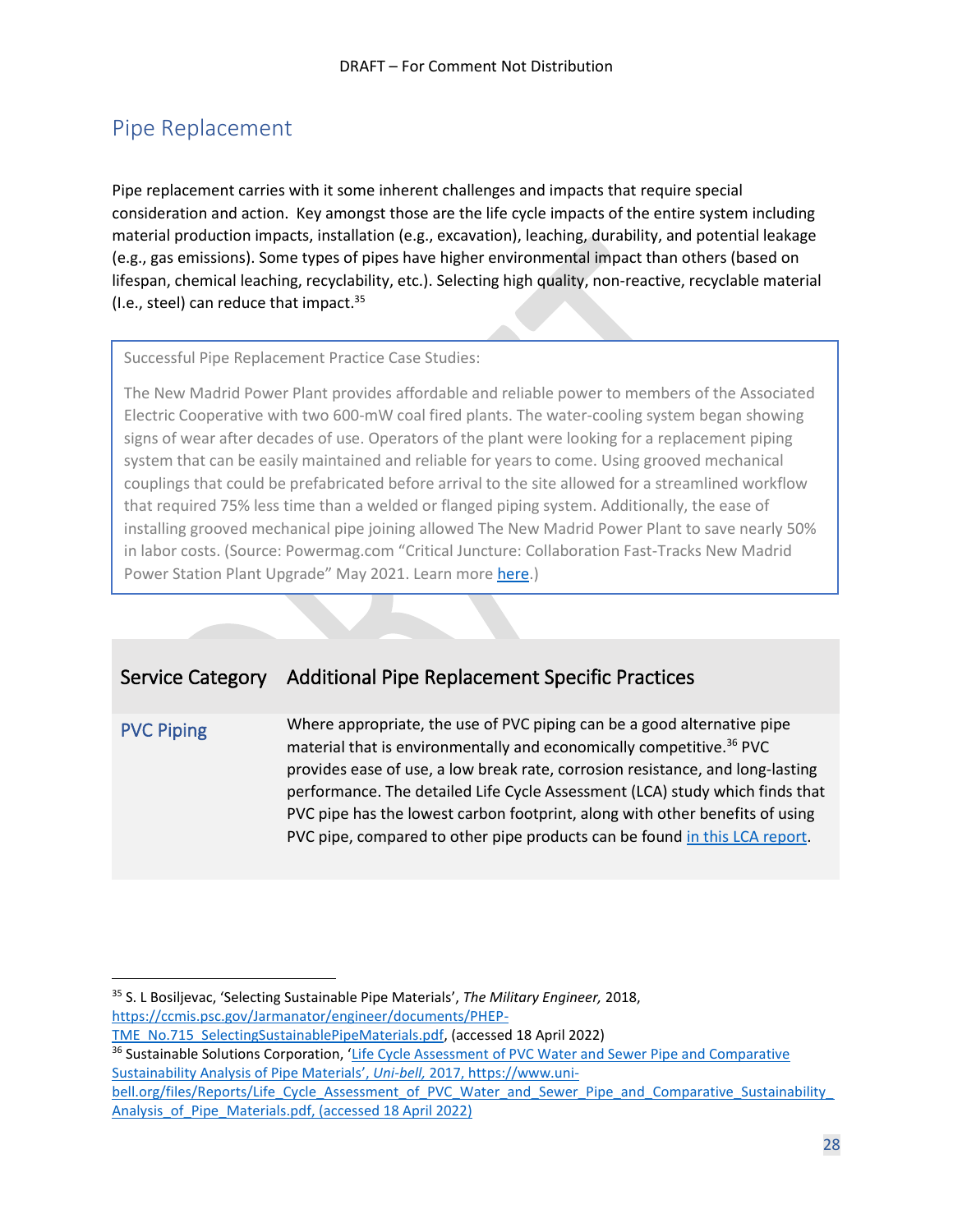## <span id="page-27-0"></span>Pipe Replacement

Pipe replacement carries with it some inherent challenges and impacts that require special consideration and action. Key amongst those are the life cycle impacts of the entire system including material production impacts, installation (e.g., excavation), leaching, durability, and potential leakage (e.g., gas emissions). Some types of pipes have higher environmental impact than others (based on lifespan, chemical leaching, recyclability, etc.). Selecting high quality, non-reactive, recyclable material (I.e., steel) can reduce that impact. $35$ 

Successful Pipe Replacement Practice Case Studies:

The New Madrid Power Plant provides affordable and reliable power to members of the Associated Electric Cooperative with two 600-mW coal fired plants. The water-cooling system began showing signs of wear after decades of use. Operators of the plant were looking for a replacement piping system that can be easily maintained and reliable for years to come. Using grooved mechanical couplings that could be prefabricated before arrival to the site allowed for a streamlined workflow that required 75% less time than a welded or flanged piping system. Additionally, the ease of installing grooved mechanical pipe joining allowed The New Madrid Power Plant to save nearly 50% in labor costs. (Source: Powermag.com "Critical Juncture: Collaboration Fast-Tracks New Madrid Power Station Plant Upgrade" May 2021. Learn more [here.](https://www.powermag.com/critical-juncture-collaboration-fast-tracks-new-madrid-power-station-plant-upgrade/))

## Service Category Additional Pipe Replacement Specific Practices

<span id="page-27-1"></span>PVC Piping Where appropriate, the use of PVC piping can be a good alternative pipe material that is environmentally and economically competitive.<sup>36</sup> PVC provides ease of use, a low break rate, corrosion resistance, and long-lasting performance. The detailed Life Cycle Assessment (LCA) study which finds that PVC pipe has the lowest carbon footprint, along with other benefits of using PVC pipe, compared to other pipe products can be found [in this LCA report.](https://www.uni-bell.org/files/Reports/Life_Cycle_Assessment_of_PVC_Water_and_Sewer_Pipe_and_Comparative_Sustainability_Analysis_of_Pipe_Materials.pdf)

<sup>35</sup> S. L Bosiljevac, 'Selecting Sustainable Pipe Materials', *The Military Engineer,* 2018, [https://ccmis.psc.gov/Jarmanator/engineer/documents/PHEP-](https://ccmis.psc.gov/Jarmanator/engineer/documents/PHEP-TME_No.715_SelectingSustainablePipeMaterials.pdf)

[TME\\_No.715\\_SelectingSustainablePipeMaterials.pdf,](https://ccmis.psc.gov/Jarmanator/engineer/documents/PHEP-TME_No.715_SelectingSustainablePipeMaterials.pdf) (accessed 18 April 2022)

<sup>&</sup>lt;sup>36</sup> Sustainable Solutions Corporation, 'Life Cycle Assessment of PVC Water and Sewer Pipe and Comparative [Sustainability Analysis of Pipe Materials](https://anthesisllc.sharepoint.com/Clients%20AM/EUISSCA/2022/Work%20Teams%20and%20RTs/Construction/Construction%20Services%20Playbook/Life%20Cycle%20Assessment%20of%20PVC%20Water%20and%20Sewer%20Pipe%20and%20Comparative%20Sustainability%20Analysis%20of%20Pipe%20Materials’,%20Uni-bell,%202017,%20https:/www.uni-bell.org/files/Reports/Life_Cycle_Assessment_of_PVC_Water_and_Sewer_Pipe_and_Comparative_Sustainability_Analysis_of_Pipe_Materials.pdf,%20(accessed%2018%20April%202022))', *Uni-bell,* 2017, https://www.uni-

[bell.org/files/Reports/Life\\_Cycle\\_Assessment\\_of\\_PVC\\_Water\\_and\\_Sewer\\_Pipe\\_and\\_Comparative\\_Sustainability\\_](https://anthesisllc.sharepoint.com/Clients%20AM/EUISSCA/2022/Work%20Teams%20and%20RTs/Construction/Construction%20Services%20Playbook/Life%20Cycle%20Assessment%20of%20PVC%20Water%20and%20Sewer%20Pipe%20and%20Comparative%20Sustainability%20Analysis%20of%20Pipe%20Materials’,%20Uni-bell,%202017,%20https:/www.uni-bell.org/files/Reports/Life_Cycle_Assessment_of_PVC_Water_and_Sewer_Pipe_and_Comparative_Sustainability_Analysis_of_Pipe_Materials.pdf,%20(accessed%2018%20April%202022)) Analysis of Pipe Materials.pdf, (accessed 18 April 2022)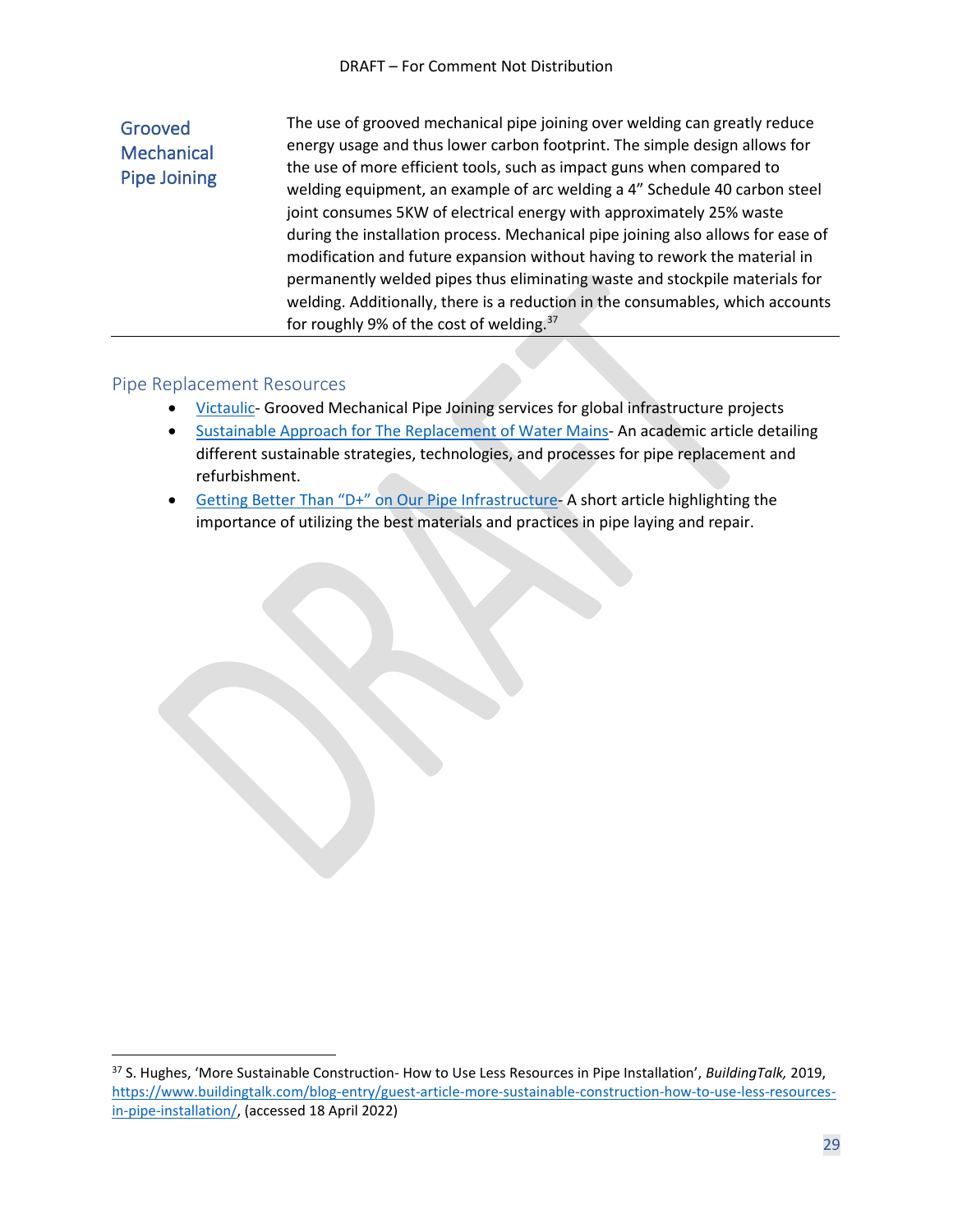#### <span id="page-28-0"></span>Grooved **Mechanical** Pipe Joining The use of grooved mechanical pipe joining over welding can greatly reduce energy usage and thus lower carbon footprint. The simple design allows for the use of more efficient tools, such as impact guns when compared to welding equipment, an example of arc welding a 4" Schedule 40 carbon steel joint consumes 5KW of electrical energy with approximately 25% waste during the installation process. Mechanical pipe joining also allows for ease of modification and future expansion without having to rework the material in permanently welded pipes thus eliminating waste and stockpile materials for welding. Additionally, there is a reduction in the consumables, which accounts for roughly 9% of the cost of welding.<sup>37</sup>

#### <span id="page-28-1"></span>Pipe Replacement Resources

- [Victaulic-](https://www.victaulic.com/infrastructure/) Grooved Mechanical Pipe Joining services for global infrastructure projects
- [Sustainable Approach for The Replacement of Water Mains-](https://www.researchgate.net/publication/357574143_Sustainable_Approach_for_the_Replacement_of_Water_Mains35428) An academic article detailing different sustainable strategies, technologies, and processes for pipe replacement and refurbishment.
- [Getting Better Than "D+" on Our Pipe Infrastructure](https://www.greenbuildingsolutions.org/blog/pipe-infrastructure-better-grade/) A short article highlighting the importance of utilizing the best materials and practices in pipe laying and repair.

<sup>37</sup> S. Hughes, 'More Sustainable Construction- How to Use Less Resources in Pipe Installation', *BuildingTalk,* 2019, [https://www.buildingtalk.com/blog-entry/guest-article-more-sustainable-construction-how-to-use-less-resources](https://www.buildingtalk.com/blog-entry/guest-article-more-sustainable-construction-how-to-use-less-resources-in-pipe-installation/)[in-pipe-installation/,](https://www.buildingtalk.com/blog-entry/guest-article-more-sustainable-construction-how-to-use-less-resources-in-pipe-installation/) (accessed 18 April 2022)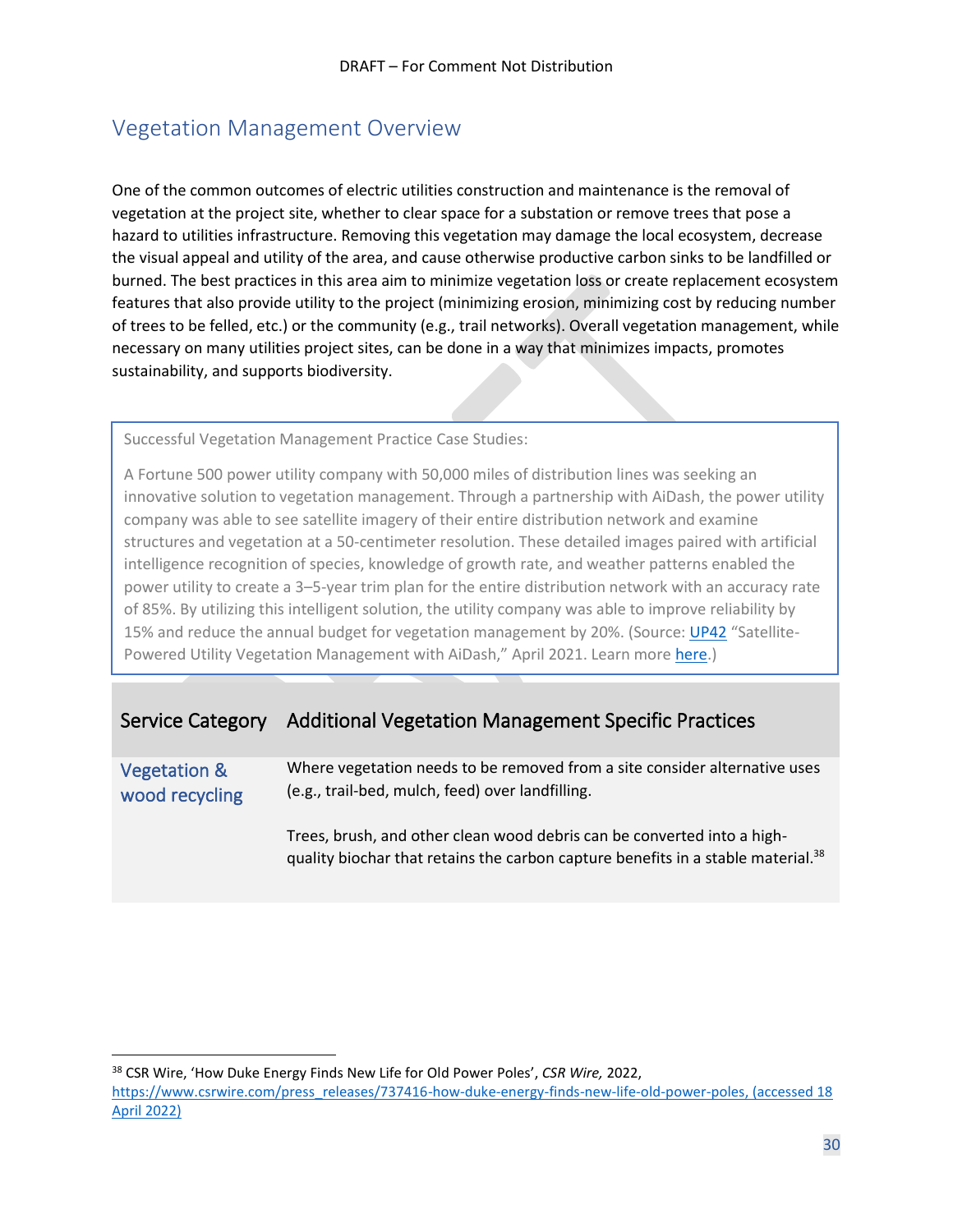## <span id="page-29-0"></span>Vegetation Management Overview

One of the common outcomes of electric utilities construction and maintenance is the removal of vegetation at the project site, whether to clear space for a substation or remove trees that pose a hazard to utilities infrastructure. Removing this vegetation may damage the local ecosystem, decrease the visual appeal and utility of the area, and cause otherwise productive carbon sinks to be landfilled or burned. The best practices in this area aim to minimize vegetation loss or create replacement ecosystem features that also provide utility to the project (minimizing erosion, minimizing cost by reducing number of trees to be felled, etc.) or the community (e.g., trail networks). Overall vegetation management, while necessary on many utilities project sites, can be done in a way that minimizes impacts, promotes sustainability, and supports biodiversity.

Successful Vegetation Management Practice Case Studies:

A Fortune 500 power utility company with 50,000 miles of distribution lines was seeking an innovative solution to vegetation management. Through a partnership with AiDash, the power utility company was able to see satellite imagery of their entire distribution network and examine structures and vegetation at a 50-centimeter resolution. These detailed images paired with artificial intelligence recognition of species, knowledge of growth rate, and weather patterns enabled the power utility to create a 3–5-year trim plan for the entire distribution network with an accuracy rate of 85%. By utilizing this intelligent solution, the utility company was able to improve reliability by 15% and reduce the annual budget for vegetation management by 20%. (Source: [UP42](https://up42.com/case-study/utility-vegetation-management-with-aidash) "Satellite-Powered Utility Vegetation Management with AiDash," April 2021. Learn more [here.](https://up42.com/case-study/utility-vegetation-management-with-aidash))

### Service Category Additional Vegetation Management Specific Practices

<span id="page-29-1"></span>Vegetation & wood recycling Where vegetation needs to be removed from a site consider alternative uses (e.g., trail-bed, mulch, feed) over landfilling.

Trees, brush, and other clean wood debris can be converted into a highquality biochar that retains the carbon capture benefits in a stable material.<sup>38</sup>

<sup>38</sup> CSR Wire, 'How Duke Energy Finds New Life for Old Power Poles', *CSR Wire,* 2022, [https://www.csrwire.com/press\\_releases/737416-how-duke-energy-finds-new-life-old-power-poles,](https://www.csrwire.com/press_releases/737416-how-duke-energy-finds-new-life-old-power-poles) (accessed 18 April 2022)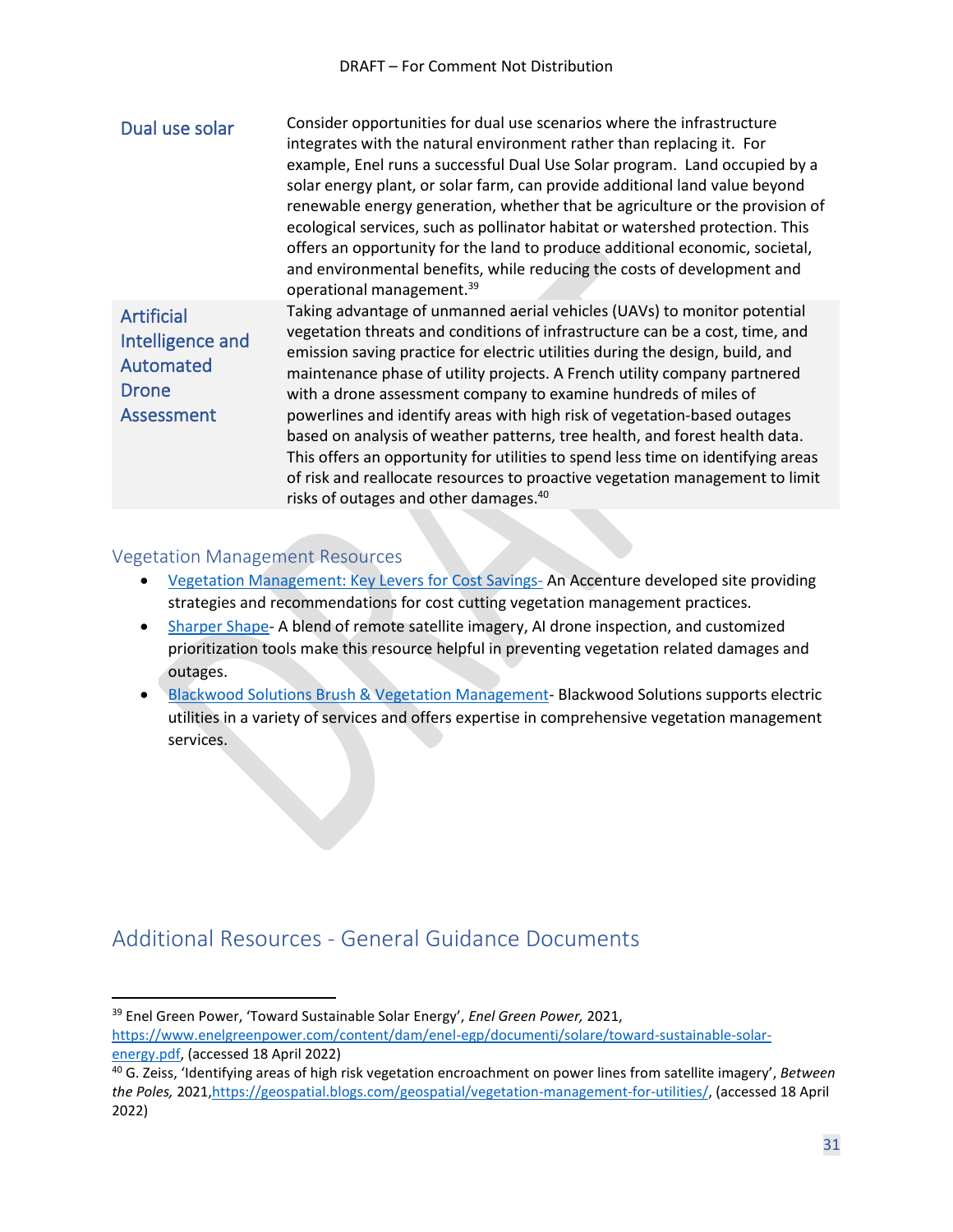<span id="page-30-1"></span><span id="page-30-0"></span>

| Dual use solar                                                                   | Consider opportunities for dual use scenarios where the infrastructure<br>integrates with the natural environment rather than replacing it. For<br>example, Enel runs a successful Dual Use Solar program. Land occupied by a<br>solar energy plant, or solar farm, can provide additional land value beyond<br>renewable energy generation, whether that be agriculture or the provision of<br>ecological services, such as pollinator habitat or watershed protection. This<br>offers an opportunity for the land to produce additional economic, societal,<br>and environmental benefits, while reducing the costs of development and<br>operational management. <sup>39</sup>                                                                                             |
|----------------------------------------------------------------------------------|-------------------------------------------------------------------------------------------------------------------------------------------------------------------------------------------------------------------------------------------------------------------------------------------------------------------------------------------------------------------------------------------------------------------------------------------------------------------------------------------------------------------------------------------------------------------------------------------------------------------------------------------------------------------------------------------------------------------------------------------------------------------------------|
| <b>Artificial</b><br>Intelligence and<br>Automated<br><b>Drone</b><br>Assessment | Taking advantage of unmanned aerial vehicles (UAVs) to monitor potential<br>vegetation threats and conditions of infrastructure can be a cost, time, and<br>emission saving practice for electric utilities during the design, build, and<br>maintenance phase of utility projects. A French utility company partnered<br>with a drone assessment company to examine hundreds of miles of<br>powerlines and identify areas with high risk of vegetation-based outages<br>based on analysis of weather patterns, tree health, and forest health data.<br>This offers an opportunity for utilities to spend less time on identifying areas<br>of risk and reallocate resources to proactive vegetation management to limit<br>risks of outages and other damages. <sup>40</sup> |

#### <span id="page-30-2"></span>Vegetation Management Resources

- [Vegetation Management: Key Levers for Cost Savings-](https://www.accenture.com/us-en/blogs/accenture-utilities-blog/vegetation-management-key-levers-for-cost-savings) An Accenture developed site providing strategies and recommendations for cost cutting vegetation management practices.
- [Sharper Shape-](https://sharpershape.com/) A blend of remote satellite imagery, AI drone inspection, and customized prioritization tools make this resource helpful in preventing vegetation related damages and outages.
- [Blackwood Solutions Brush & Vegetation Management-](https://www.bwoodsolutions.com/brush-vegetation) Blackwood Solutions supports electric utilities in a variety of services and offers expertise in comprehensive vegetation management services.

## <span id="page-30-3"></span>Additional Resources - General Guidance Documents

<sup>39</sup> Enel Green Power, 'Toward Sustainable Solar Energy', *Enel Green Power,* 2021, [https://www.enelgreenpower.com/content/dam/enel-egp/documenti/solare/toward-sustainable-solar-](https://www.enelgreenpower.com/content/dam/enel-egp/documenti/solare/toward-sustainable-solar-energy.pdf)

[energy.pdf,](https://www.enelgreenpower.com/content/dam/enel-egp/documenti/solare/toward-sustainable-solar-energy.pdf) (accessed 18 April 2022)

<sup>40</sup> G. Zeiss, 'Identifying areas of high risk vegetation encroachment on power lines from satellite imagery', *Between the Poles,* 2021[,https://geospatial.blogs.com/geospatial/vegetation-management-for-utilities/,](https://geospatial.blogs.com/geospatial/vegetation-management-for-utilities/) (accessed 18 April 2022)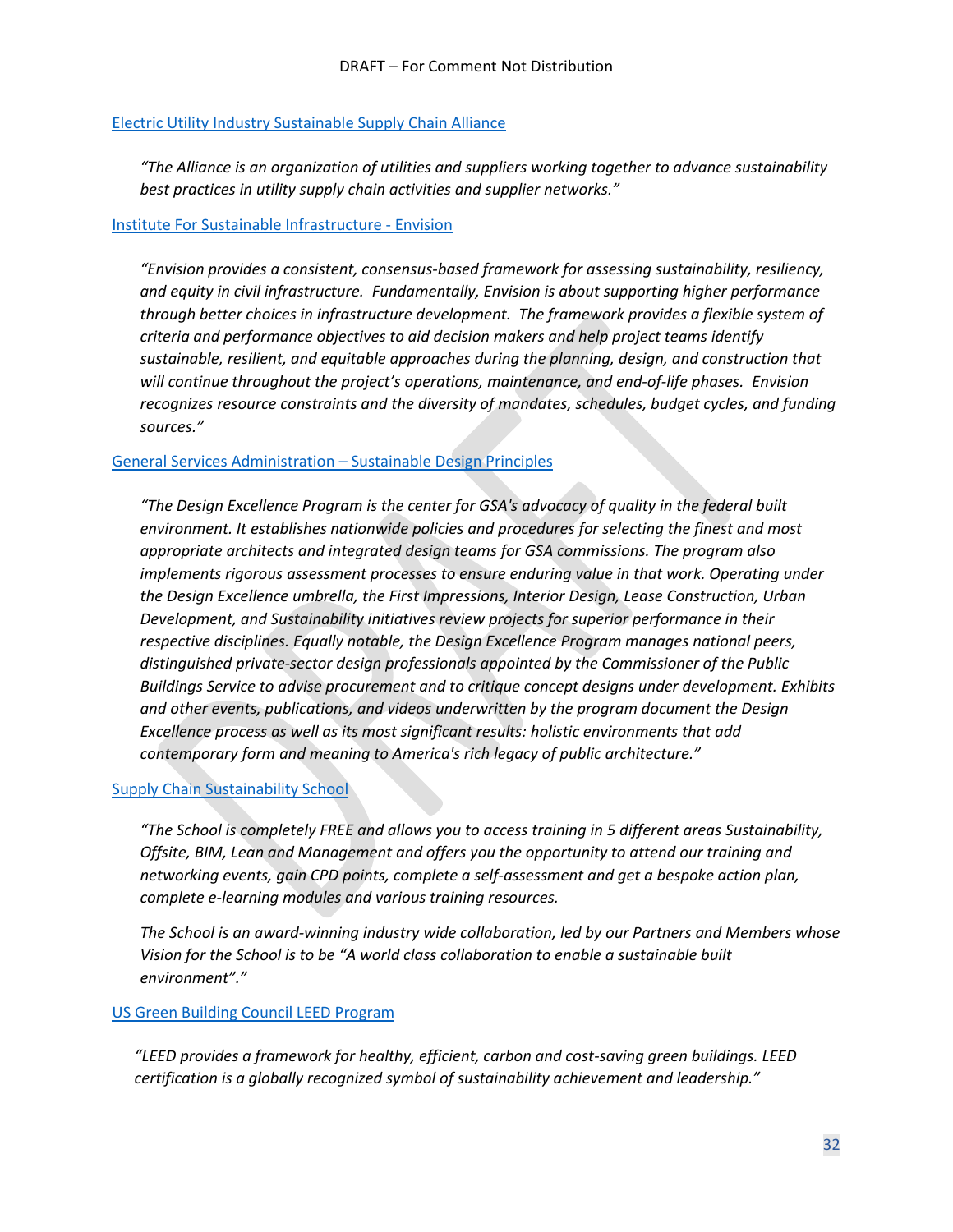#### [Electric Utility Industry Sustainable Supply Chain Alliance](https://www.euissca.org/)

*"The Alliance is an organization of utilities and suppliers working together to advance sustainability best practices in utility supply chain activities and supplier networks."*

#### [Institute For Sustainable Infrastructure -](https://sustainableinfrastructure.org/envision/overview-of-envision/) Envision

*"Envision provides a consistent, consensus-based framework for assessing sustainability, resiliency, and equity in civil infrastructure. Fundamentally, Envision is about supporting higher performance through better choices in infrastructure development. The framework provides a flexible system of criteria and performance objectives to aid decision makers and help project teams identify sustainable, resilient, and equitable approaches during the planning, design, and construction that will continue throughout the project's operations, maintenance, and end-of-life phases. Envision recognizes resource constraints and the diversity of mandates, schedules, budget cycles, and funding sources."*

#### [General Services Administration](https://www.gsa.gov/real-estate/design-construction/design-excellence-overview) – Sustainable Design Principles

*"The Design Excellence Program is the center for GSA's advocacy of quality in the federal built environment. It establishes nationwide policies and procedures for selecting the finest and most appropriate architects and integrated design teams for GSA commissions. The program also implements rigorous assessment processes to ensure enduring value in that work. Operating under the Design Excellence umbrella, the First Impressions, Interior Design, Lease Construction, Urban Development, and Sustainability initiatives review projects for superior performance in their respective disciplines. Equally notable, the Design Excellence Program manages national peers, distinguished private-sector design professionals appointed by the Commissioner of the Public Buildings Service to advise procurement and to critique concept designs under development. Exhibits and other events, publications, and videos underwritten by the program document the Design Excellence process as well as its most significant results: holistic environments that add contemporary form and meaning to America's rich legacy of public architecture."*

#### **[Supply Chain Sustainability School](https://www.supplychainschool.co.uk/)**

*"The School is completely FREE and allows you to access training in 5 different areas Sustainability, Offsite, BIM, Lean and Management and offers you the opportunity to attend our training and networking events, gain CPD points, complete a self-assessment and get a bespoke action plan, complete e-learning modules and various training resources.*

*The School is an award-winning industry wide collaboration, led by our Partners and Members whose Vision for the School is to be "A world class collaboration to enable a sustainable built environment"."*

#### [US Green Building Council LEED Program](https://www.usgbc.org/leed)

*"LEED provides a framework for healthy, efficient, carbon and cost-saving green buildings. LEED certification is a globally recognized symbol of sustainability achievement and leadership."*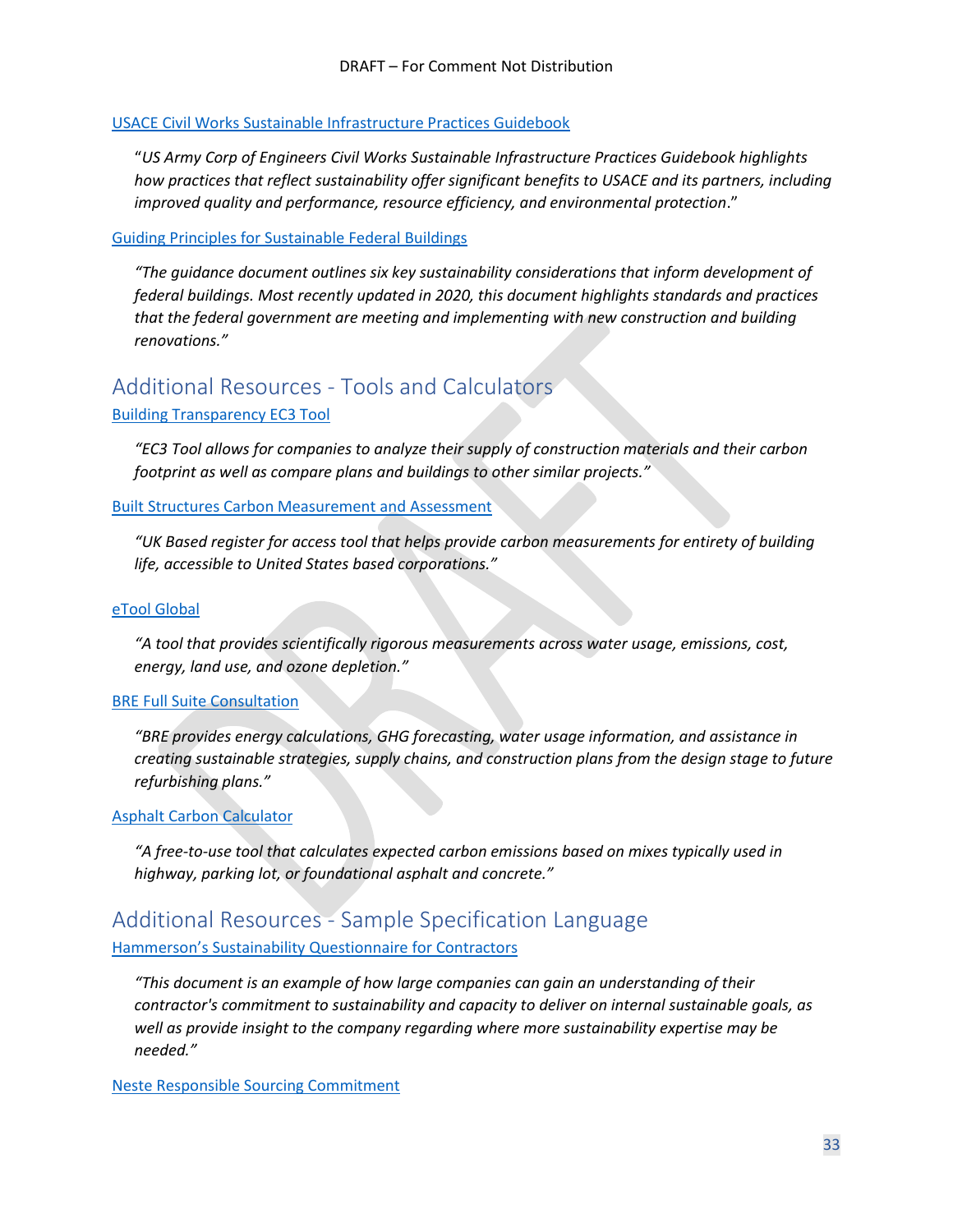#### [USACE Civil Works Sustainable Infrastructure Practices Guidebook](https://www.google.com/url?sa=t&rct=j&q=&esrc=s&source=web&cd=&cad=rja&uact=8&ved=2ahUKEwiJwuT539z2AhXQknIEHWqIADgQFnoECCgQAQ&url=https%3A%2F%2Fwww.publications.usace.army.mil%2FPortals%2F76%2FUsers%2F182%2F86%2F2486%2FEP%25201100-2-2.pdf&usg=AOvVaw2TniBycYquPDDxiMfL2U02)

"*US Army Corp of Engineers Civil Works Sustainable Infrastructure Practices Guidebook highlights how practices that reflect sustainability offer significant benefits to USACE and its partners, including improved quality and performance, resource efficiency, and environmental protection*."

#### [Guiding Principles for Sustainable Federal Buildings](https://www.sustainability.gov/pdfs/guiding_principles_for_sustainable_federal_buildings.pdf)

*"The guidance document outlines six key sustainability considerations that inform development of federal buildings. Most recently updated in 2020, this document highlights standards and practices that the federal government are meeting and implementing with new construction and building renovations."*

# <span id="page-32-0"></span>Additional Resources - Tools and Calculators

#### [Building Transparency EC3 Tool](https://www.buildingtransparency.org/)

*"EC3 Tool allows for companies to analyze their supply of construction materials and their carbon footprint as well as compare plans and buildings to other similar projects."*

#### [Built Structures Carbon Measurement and Assessment](https://assets.publishing.service.gov.uk/government/uploads/system/uploads/attachment_data/file/571707/LIT_7067.pdf)

*"UK Based register for access tool that helps provide carbon measurements for entirety of building life, accessible to United States based corporations."*

#### eTool [Global](https://etoolglobal.com/)

*"A tool that provides scientifically rigorous measurements across water usage, emissions, cost, energy, land use, and ozone depletion."*

#### [BRE Full Suite Consultation](https://www.bregroup.com/sectors/solutions-for-construction-sector/#sustainability)

*"BRE provides energy calculations, GHG forecasting, water usage information, and assistance in creating sustainable strategies, supply chains, and construction plans from the design stage to future refurbishing plans."*

#### [Asphalt Carbon Calculator](https://trl.co.uk/permanent-landing-pages/asphalt-pavement-embodied-carbon-tool-aspect/)

*"A free-to-use tool that calculates expected carbon emissions based on mixes typically used in highway, parking lot, or foundational asphalt and concrete."*

## <span id="page-32-1"></span>Additional Resources - Sample Specification Language [Hammerson's Sustainability Questionnaire for Contractors](http://sustainability.hammerson.com/downloads/download246.pdf)

*"This document is an example of how large companies can gain an understanding of their contractor's commitment to sustainability and capacity to deliver on internal sustainable goals, as well as provide insight to the company regarding where more sustainability expertise may be needed."*

[Neste Responsible Sourcing Commitment](https://www.neste.com/sites/neste.com/files/attachments/corporate/sustainability/managing_sustainability/neste_responsible_sourcing_principle_0.pdf)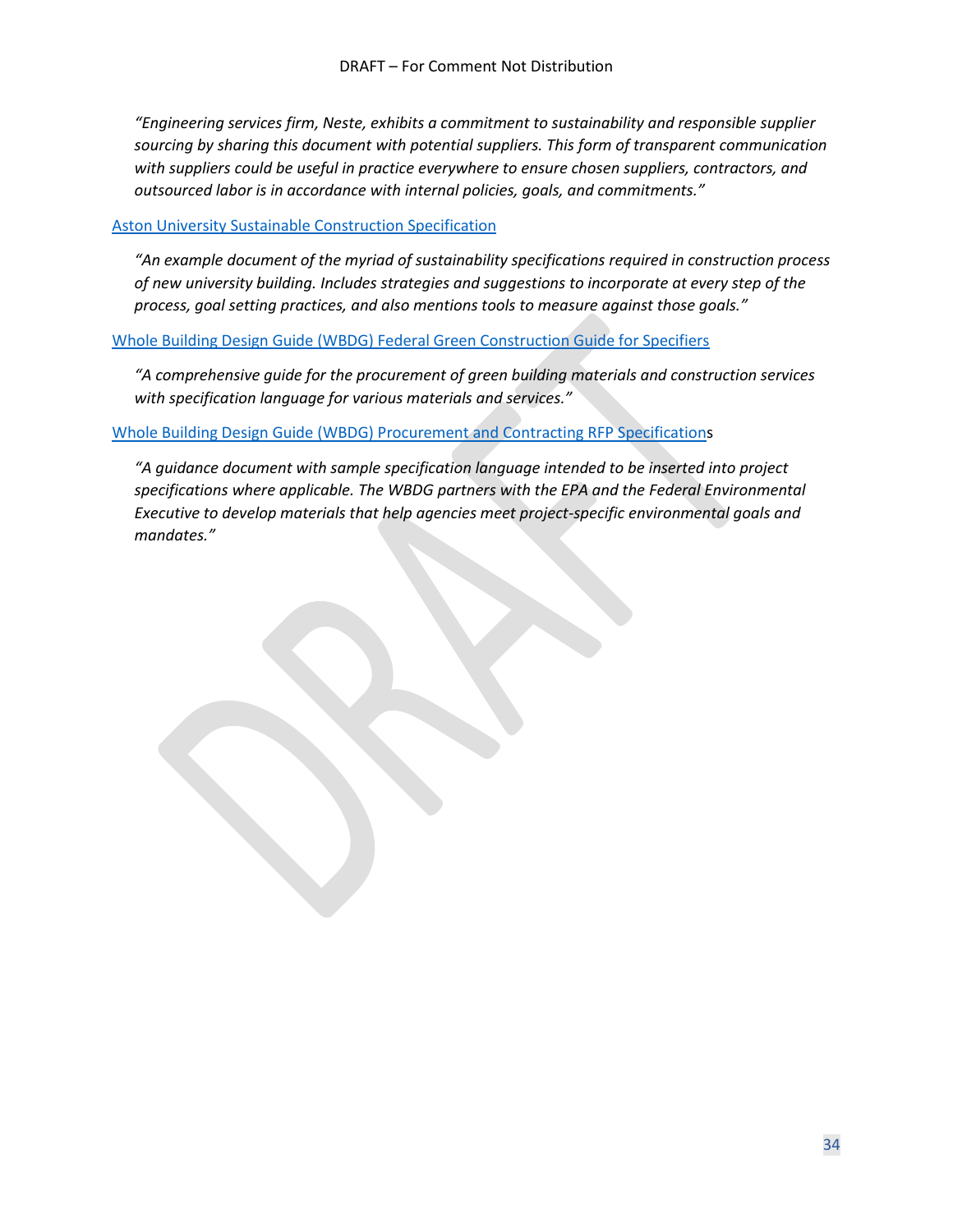*"Engineering services firm, Neste, exhibits a commitment to sustainability and responsible supplier sourcing by sharing this document with potential suppliers. This form of transparent communication with suppliers could be useful in practice everywhere to ensure chosen suppliers, contractors, and outsourced labor is in accordance with internal policies, goals, and commitments."*

#### [Aston University Sustainable Construction Specification](https://www2.aston.ac.uk/EasySiteWeb/Sustainable-Construction-Specificationeccf.pdf)

*"An example document of the myriad of sustainability specifications required in construction process of new university building. Includes strategies and suggestions to incorporate at every step of the process, goal setting practices, and also mentions tools to measure against those goals."*

#### Whole Building Design Guide (WBDG) [Federal Green Construction Guide for Specifiers](https://www.wbdg.org/ffc/epa/federal-green-construction-guide-specifiers)

*"A comprehensive guide for the procurement of green building materials and construction services with specification language for various materials and services."*

#### Whole Building Design Guide (WBDG) [Procurement and Contracting RFP Specifications](https://www.wbdg.org/FFC/EPA/FEDGREEN/fgs_001000.pdf)

*"A guidance document with sample specification language intended to be inserted into project specifications where applicable. The WBDG partners with the EPA and the Federal Environmental Executive to develop materials that help agencies meet project-specific environmental goals and mandates."*